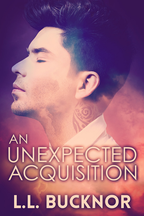# AN UNEXPECTED<br>ACQUISITION L.L. BUCKNOR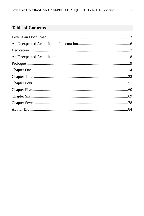#### **Table of Contents**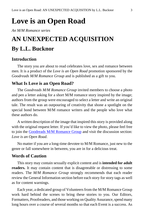## <span id="page-2-0"></span>**Love is an Open Road**

*An M/M Romance series*

# **AN UNEXPECTED ACQUISITION By L.L. Bucknor**

#### **Introduction**

The story you are about to read celebrates love, sex and romance between men. It is a product of the *Love is an Open Road* promotion sponsored by the *Goodreads M/M Romance Group* and is published as a gift to you.

#### **What Is Love is an Open Road?**

The *Goodreads M/M Romance Group* invited members to choose a photo and pen a letter asking for a short M/M romance story inspired by the image; authors from the group were encouraged to select a letter and write an original tale. The result was an outpouring of creativity that shone a spotlight on the special bond between M/M romance writers and the people who love what these authors do.

A written description of the image that inspired this story is provided along with the original request letter. If you'd like to view the photo, please feel free to join the [Goodreads M/M Romance Group](http://www.goodreads.com/group/show/20149-m-m-romance) and visit the discussion section: *Love is an Open Road*.

No matter if you are a long-time devotee to M/M Romance, just new to the genre or fall somewhere in between, you are in for a delicious treat.

#### **Words of Caution**

This story may contain sexually explicit content and is **intended for adult readers.** It may contain content that is disagreeable or distressing to some readers. The *M/M Romance Group* strongly recommends that each reader review the General Information section before each story for story tags as well as for content warnings.

Each year, a dedicated group of Volunteers from the M/M Romance Group work hard behind the scenes to bring these stories to you. Our Editors, Formatters, Proofreaders, and those working on Quality Assurance, spend many long hours over a course of several months so that each Event is a success. As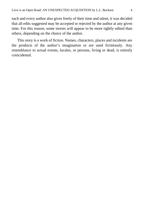each and every author also gives freely of their time and talent, it was decided that all edits suggested may be accepted or rejected by the author at any given time. For this reason, some stories will appear to be more tightly edited than others, depending on the choice of the author.

This story is a work of fiction. Names, characters, places and incidents are the products of the author's imagination or are used fictitiously. Any resemblance to actual events, locales, or persons, living or dead, is entirely coincidental.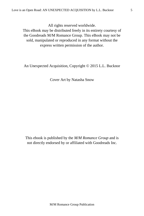All rights reserved worldwide.

This eBook may be distributed freely in its entirety courtesy of the Goodreads M/M Romance Group. This eBook may not be sold, manipulated or reproduced in any format without the express written permission of the author.

An Unexpected Acquisition, Copyright © 2015 L.L. Bucknor

Cover Art by Natasha Snow

This ebook is published by the *M/M Romance Group* and is not directly endorsed by or affiliated with Goodreads Inc.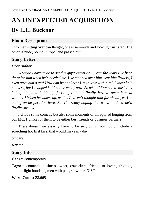# <span id="page-5-0"></span>**AN UNEXPECTED ACQUISITION By L.L. Bucknor**

#### **Photo Description**

Two men sitting over candlelight, one is seminude and looking frustrated. The other is nude, bound in rope, and passed out.

#### **Story Letter**

*Dear Author,*

*What do I have to do to get this guy's attention?! Over the years I've been there for him when he's needed me. I've mooned over him, sent him flowers, I even gave him a cat! How can he not know I'm in love with him? I know he's clueless, but I'd hoped he'd notice me by now. So what if I've had to basically kidnap him, and tie him up, just to get him to, finally, have a romantic meal with me? When he wakes up, well… I haven't thought that far ahead yet. I'm acting on desperation here. But I'm really hoping that when he does, he'll finally see me.*

I'd love some comedy but also some moments of unrequited longing from our MC. I'd like for them to be either best friends or business partners.

There doesn't necessarily have to be sex, but if you could include a scorching hot first kiss, that would make my day.

*Sincerely,*

*Kristan*

#### **Story Info**

**Genre:** contemporary

**Tags:** accountant, business owner, coworkers, friends to lovers, frottage, humor, light bondage, men with pets, slow burn/UST

**Word Count:** 28,665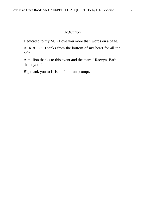#### *Dedication*

<span id="page-6-0"></span>Dedicated to my M. ~ Love you more than words on a page.

A, K & L  $\sim$  Thanks from the bottom of my heart for all the help.

A million thanks to this event and the team!! Raevyn, Barb thank you!!

Big thank you to Kristan for a fun prompt.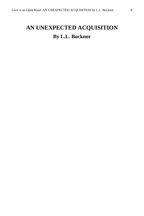### <span id="page-7-0"></span>**AN UNEXPECTED ACQUISITION By L.L. Bucknor**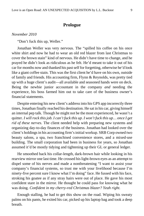#### **Prologue**

<span id="page-8-0"></span>*November 2010*

"Don't fuck this up, Weller."

Jonathan Weller was very nervous. The "spilled his coffee on his once white shirt and now he had to wear an old red blazer from last Christmas to cover the brown stain" kind of nervous. He didn't have time to change, and he prayed he didn't look as ridiculous as he felt. He'd meant to take it out of his car for months now and thanked his past self for forgetting, otherwise he'd look like a giant coffee stain. This was the first client he'd have on his own, outside of family and friends. His accounting firm, Flynn & Reynolds, was pretty tied up with a huge client's audit—all available and seasoned hands were on deck. Being the newbie junior accountant in the company *and* needing the experience, his boss farmed him out to take care of the business owner's financial statements.

Despite entering his new client's address into his GPS app incorrectly three times, Jonathan finally reached his destination. He sat in his car, giving himself an internal pep talk. Though he might not be the most experienced, he wasn't a quitter. *I will rock this job. I can't fuck this up. I won't fuck this up… once I get rid of these nerves.* The client needed help with preparing new systems and organizing day-to-day finances of the business. Jonathan had looked over the client's holdings in his accounting firm's initial workup. SRB Corp owned two beauty salons, a spa, two franchised convenience stores, and a mixed-use building. The small corporation had been in business for years, so Jonathan assumed it'd be mostly tidying and tightening up their GL or general ledger.

He smoothed back his collar-length, dark-brown hair while looking in his rearview mirror one last time. He crossed his light-brown eyes as an attempt to dispel some of his nerves and made a nonthreatening "I want to assist your company's financial systems, so trust me with your livelihood because I'm ninety-five percent sure I know what I'm doing" face. He fussed with his face, stroking his goatee as if any stray hairs were out of place. He gave his most confident stare in the mirror. He thought he could pass for knowing what he was doing. *Confident in my cherry-red Christmas blazer? Yeah right.*

Enough stalling, he had to get this show on the road. Wiping his sweaty palms on his pants, he exited his car, picked up his laptop bag and took a deep breath.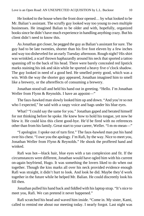He looked to the house when the front door opened… by what looked to be Mr. Balian's assistant. The scruffy guy looked way too young to own multiple businesses. He imagined Balian to be older and with, hopefully, organized books since he didn't have much experience in handling anything crazy. But his client didn't need to know this.

As Jonathan got closer, he pegged the guy as Balian's assistant for sure. The guy had to be late twenties, shorter than his five foot eleven by a few inches and way too disheveled for an early Tuesday afternoon. Rough night? His shirt was wrinkled, a scarf thrown haphazardly around his neck that sported a tattoo spanning off to the back of his head. There were barely concealed red lipstick marks staining his ink and skin while he sported a heavy five o'clock shadow. The guy looked in need of a good bed. He smelled pretty good, which was a win. With the way the shorter guy appeared, Jonathan imagined him to smell like a brewery, or the aftereffects of consuming a brewery.

Jonathan stood tall and held his hand out in greeting. "Hello. I'm Jonathan Weller from Flynn & Reynolds. I have an appoint—"

The faux-hawked man slowly looked him up and down. "And you're so not who I expected," he said with a raspy voice and bags under his blue eyes.

What? "I could say the same for you." Jonathan gaped and berated himself for not thinking before he spoke. He knew how to hold his tongue, yet now he blew it. He could kiss this client good-bye. He'd be fired with no references other than from his family. Great start to your career, Weller. "I m-m-mean—"

"I apologize. I spoke out of turn first." The faux-hawked man put his hand over his chest. "I owe you the apology. I'm Rafi, by the way. Nice to meet you, Jonathan Weller from Flynn & Reynolds." He shook the proffered hand and winked.

Rafi was hot—black hair, blue eyes with a tan complexion and fit. If the circumstances were different, Jonathan would have ogled him with his current on-again boyfriend, Hugo. It was something the lovers liked to do when out together. Though the kiss marks all over his neck provided evidence enough Rafi was straight, it didn't hurt to look. And look he did. Maybe they'd work together in the future while he helped Mr. Balian. He could discreetly look his fill then.

Jonathan pulled his hand back and fiddled with his laptop strap. "It's nice to meet you, Rafi. We can pretend it never happened."

Rafi scratched his head and waved him inside. "Come in. My sister, Kami, called to remind me about our meeting today. I nearly forgot. Last night was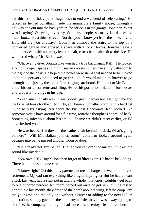my thirtieth birthday party, huge bash to end a weekend of celebrating." He talked as he led Jonathan inside the immaculate family house, through a hallway and out into the backyard. "The office is in the garage, Jonathan. What was I saying? Oh yeah, my party. So many people, so many lap dances, so much booze. Best thirtieth ever. Not that you'd know yet from the looks of you. How old are you anyway?" Both men climbed the stairs to the top of a converted garage and entered a space with a lot of boxes. Jonathan saw a computer desk with an empty leather chair, two other chairs off to the side. He wondered where Mr. Balian was.

"Uh, twenty-five. Sounds like you had a true bacchanal, Rafi." He looked around the open space and didn't see any rooms, other than a tiny bathroom to the right of the desk. He hoped the boxes were items that needed to be moved and not paperwork he'd need to go through. It would take him forever to go through them just by the look of the bulging cardboard. He'd talk to Mr. Balian about his current systems and filing. He had his portfolio of Balian's businesses and property holdings in his bag.

"Yeah, man. It truly was. I usually don't get hungover but last night, me and the boys let loose for the dirty thirty, you know?" Jonathan didn't think he'd get much help by asking Rafi about the business's accounts. Rafi looked like someone you'd have around for a fun time, Jonathan thought as he smiled back. Something infectious about his smile. "Shame we didn't meet earlier, or I'd have invited you."

He watched Rafi sit down in the leather chair behind the desk. What's going on here? "Will Mr. Balian join us soon?" Jonathan looked around again because maybe he missed another room or door.

"He already did. I'm Balian. Though you can drop the mister, it makes me sound like my dad."

"*You* own SRB Corp?" Jonathan forgot to filter again. He had to be kidding. There had to be someone else.

"I know right? Get this—my parents put me in charge and went into forced retirement. My dad ran everything like a tight ship, right? But he had a heart attack last year, had a stent put in and the whole nine yards. Couldn't get back to one hundred percent. My mom helped out once he got sick, but it stressed her out. So last month, they dropped the bomb about retiring, left the coop. I'm the youngest, and the only one without a career or adding to the next Balian generation, so they gave me the company a little early. It was always going to be mine, the company. I thought I had more time to enjoy life before it became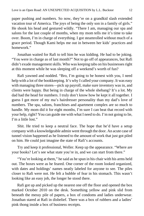paper pushing and numbers. So now, they're on a grandkid slash extended vacation tour of America. The joys of being the only son in a family of girls." He shook his head and gestured wildly. "There I am, managing our spa and salons for the last couple of months, when my mom tells me it's time to take over. Boom, I'm in charge of everything. I got steamrolled without much of a grace period. Though Kami helps me out in between her kids' practices and homework."

Jonathan waited for Rafi to tell him he was kidding. He had to be joking. "You were in charge as of last month?" Not to go off of appearances, but Rafi didn't exude management skills. Who was keeping tabs on his businesses right at this moment while he was sleeping off a weekend's worth of fun?

Rafi yawned and nodded. "Bro, I'm going to be honest with you, I need help with a lot of the bookkeeping. It's why I called your company. It was easy with managing three stores—pick up payroll, make sure inventory was in, and clients were happy. But being in charge of the whole shebang? It's a lot. My dad had the head for numbers. I truly don't know how he kept it all together. I guess I got more of my ma's hairdresser personality than my dad's love of numbers. The spa, salons, franchises and apartment complex are so much to handle. My mom did it for eight months, I'm sure I can beat that record with your help, right? You can guide me with what I need to do. I'm not going to lie, I'm a little lost."

Shit. He tried to keep a neutral face. The hope that he'd have a setup company with a knowledgeable admin went through the door. An acute case of tunnel vision happened as he listened to the amount of work that just got piled on him. He could just imagine the state of Rafi's accounts.

Try and keep it professional, Weller. Keep up the appearance. "Where are your books? Let's see what state you're in, and we can start from there."

"You're looking at them," he said as he spun in his chair with his arms held out. The boxes were as he feared. One corner of the room looked organized, with dates and holdings' names neatly labeled for anyone to see. The piles closer to Rafi were not. He felt a bubble of fear in his stomach. This wasn't looking like an easy job, the longer he stood there.

Rafi got up and picked up the nearest one off the floor and opened the box marked October 2010 on the desk. Something yellow and pink slid from beneath the messy pile of papers, a box of condoms and ladies underwear. Jonathan stared at Rafi in disbelief. There was a box of rubbers and a ladies' pink thong inside a box of business receipts.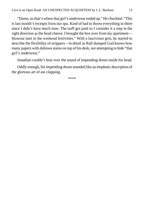"Damn, so that's where that girl's underwear ended up." He chuckled. "This is last month's receipts from our spa. Kind of had to throw everything in there since I didn't have much time. The staff got paid so I consider it a step in the right direction as the head cheese. I brought the box over from my apartment blowout start to the weekend festivities." With a lascivious grin, he started to describe the flexibility of strippers—in detail as Rafi dumped God knows how many papers with dubious stains on top of his desk, not attempting to hide "that girl's underwear."

Jonathan couldn't hear over the sound of impending doom inside his head.

Oddly enough, his impending doom sounded like an emphatic description of the glorious art of ass clapping.

\*\*\*\*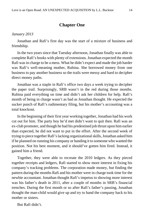#### **Chapter One**

#### <span id="page-13-0"></span>*January 2013*

Jonathan and Rafi's first day was the start of a mixture of business and friendship.

In the two years since that Tuesday afternoon, Jonathan finally was able to complete Rafi's books with plenty of extensions. Jonathan expected the month Rafi was in charge to be a mess. What he didn't expect and made the job harder was Rafi's well-meaning mother, Rubina. She borrowed money from one business to pay another business so the trails were messy and hard to decipher direct money paths.

Jonathan was a staple in Rafi's office two days a week trying to decipher the paper trail. Surprisingly, SRB wasn't in the red during those months. Rubina paid everything on time and didn't ask her children for help. Rafi's month of being in charge wasn't as bad as Jonathan thought. He expected the sucker punch of Rafi's rudimentary filing, but his mother's accounting was a total knockout.

In the beginning of their first year working together, Jonathan had his work cut out for him. The party boy he'd met didn't want to quit then. Rafi was an ex-club promoter, and though he had his predestined job thrust upon him earlier than expected, he did not want to put in the effort. After the second week of trying to piece together Rafi's lacking organizational skills, Jonathan asked him if he planned on running his company or handing it to someone who wanted the position. Not his best moment, and it should've gotten him fired. Instead, it gained him a friend.

Together, they were able to recreate the 2010 ledgers. As they pieced together receipts and ledgers, Rafi started to show more interest in fixing his company's tracking problems. The corporation made money, but finding the pattern during the months Rafi and his mother were in charge took time for the newbie accountant. Jonathan thought Rafi's impetus to showing more interest was his father's death in 2011, after a couple of months in SRB's financial trenches. During the first month or so after Rafi's father's passing, Jonathan thought the man-child would give up and try to hand the company back to his mother or sisters.

But Rafi didn't.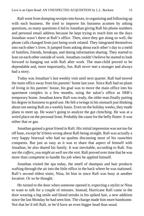Rafi went from dumping receipts into boxes, to organizing and following up with each business. He tried to improve his business acumen by asking questions, so many questions it led to Jonathan giving Rafi his phone numbers and personal email address because he kept trying to reach him on the days Jonathan wasn't there at Rafi's office. Then, since they got along so well, the phone calls changed from just being work related. They integrated themselves into each other's lives. It jumped from asking about each other's day to a meld of families, friends, breakups, and dating information sharing. They started to lean on each other outside of work. Jonathan couldn't believe he started to look forward to hanging out with Rafi after work. The man-child proved to be dependable and, more importantly, fun. Rafi *never* met a stranger and always had a story.

Today was Jonathan's last weekly visit until next quarter. Rafi had moved the main office away from his parents' home last year. Since Rafi had no plans of living in his parents' house, his goal was to move the main office into his apartment complex in a few months, using the salon's office as SRB's temporary home. Jonathan knew Rafi was ready, the older man finally putting his degree in business to good use. He felt a twinge in his stomach just thinking about not seeing Rafi on a weekly basis. Even on the holiday weeks, they made plans to meet up. He wasn't going to analyze the gut clenching. He was at a weird place on the personal front. Probably the cause for the belly flutter. It was either that or gas.

Jonathan gained a great friend in Rafi. His initial impression was not too far off base, except he'd been wrong about Rafi being straight. Rafi was actually a very happy bisexual who had no qualms discussing most of his raunchier conquests. But just as easy as it was to share that aspect of himself with Jonathan, he also shared his family. It was inevitable, according to Rafi. *You see the coffers, you might as well see the rest.* Rafi proved over time that he was more than competent to handle his job when he applied himself.

Jonathan visited the spa today, the smell of shampoo and hair products wafting through the air into the little office in the back where he was stationed. Rafi's second eldest sister, Nina, let him in since Rafi was busy at another location. Or so he thought.

He turned to the door when someone opened it, expecting a stylist or Nina to want to talk for a couple of minutes. Instead, Hurricane Rafi came in the door wearing a big smile and blond streaks in his spiked hair, a new addition since the last Monday he had seen him. The change made him more handsome. Not that he'd tell Rafi, or he'd have an even bigger head than usual.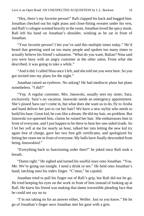"Hey, there's my favorite person!" Rafi clapped his back and hugged him. Jonathan checked out his tight jeans and close-fitting sweater under his vest, and Rafi's cologne scented heavily in the room. Jonathan loved the spicy musk. Rafi left his hand on Jonathan's shoulder, winking as he sat in front of Jonathan.

"Your favorite person? I bet you've said this multiple times today." He'd heard that greeting used on too many people and spoken too many times to actually believe his friend's salutation. "What do you want, Balian? Nina said you were busy with an angry customer at the other salon. From what she described, it was going to take a while."

"And it did. I called Nina once I left, and she told me you were here. So you got invited into my plans for the night."

Jonathan raised an eyebrow. No asking? He had mediocre plans but plans nonetheless. "I did?"

"Yep. A regular customer, Mrs. Janowski, usually sees my sister, Sara, exclusively. Sara's on vacation. Janowski needs an emergency appointment. She's pissed Sara can't come in, but what does she want us to do, fly to Aruba and hand deliver her just to cut her hair? We have a new stylist who needs to build his base. Great kid, he cuts like a dream. He did my hair, no problem. But Janowski ice-queened him, claims he ruined her hair. She embarrasses him in front of everyone, and I just happen to be there to hear her one-sided tirade. So I let her yell at me for nearly an hour, talked her into letting the new kid try again free of charge, gave her two free gift certificates, and apologized for letting her ream me in front of everyone. My balls have finally descended from being *Janowskied*."

"Everything back to functioning order then?" he joked once Rafi took a breath.

"Damn right." He sighed and turned his soulful stare onto Jonathan. "You. Me. We're going out tonight. I need a drink or ten." He held onto Jonathan's hand, latching onto his index finger. "C'mon," he cajoled.

Jonathan tried to pull his finger out of Rafi's grip, but Rafi did not let go. He tried keeping his eyes on the work in front of him instead of looking up at Rafi. He knew his friend was making that damn irresistible pleading face that he could not say no to.

"I'm not taking no for an answer either, Weller. Just so you know." He let go of Jonathan's finger once Jonathan met his gaze with a grin.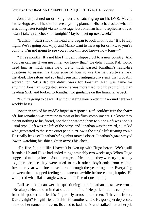Jonathan planned on drinking beer and catching up on his DVR. Maybe invite Hugo over if he didn't have anything planned. His ex had asked what he was doing later tonight via text message, but Jonathan hadn't replied as of yet. "Can I take a raincheck for tonight? Maybe meet up next week?"

"Bullshit." Rafi shook his head and began to look mutinous. "It's Friday night. We're going out. Vijay and Marco want to meet up for drinks, so you're coming. I'm not going to see you at work in God knows how long—"

"Three months. It's not like I'm being shipped off to a new country. And you can call me if you need me, you know that." He didn't think Rafi would need him as much since he'd pretty much passed Jonathan's rapid-fire questions to assess his knowledge of how to use the new software he'd installed. The salons and spa had been using antiquated systems that probably worked for Rafi's dad but didn't work for Jonathan. Rafi was game for anything Jonathan suggested, since he was more used to club promoting than heading SRB and looked to Jonathan for guidance on the financial aspect.

"But it's going to be weird without seeing your pretty mug around here on a weekly basis."

Jonathan waved his middle finger in response. Rafi couldn't turn the charm off, but Jonathan was immune to most of his flirty compliments. He knew they meant nothing to his friend, not that he wanted them to since Rafi was not his usual type. Rafi was the life of the party, and Jonathan was the weird, quiet kid who gravitated to the same quiet people. "How's the single life treating you?" He finally let go of Jonathan's finger but moved closer. Jonathan's gaze strayed lower, watching his shirt tighten across his chest.

"Er, fine. It's not like I haven't broken up with Hugo before. We're still friends." He and Hugo had ended things amicably two weeks ago. When Hugo suggested taking a break, Jonathan agreed. He thought they were trying to stay together because they were used to each other, boyfriends from college freshman year with breaks scattered through the years together. Everything between them stopped feeling spontaneous awhile before calling it quits. He wondered what Rafi's angle was with his line of questioning.

Rafi seemed to answer the questioning look Jonathan must have worn. "Breakups. Never been in that situation before." He pulled out his cell phone front his pocket and let his fingers fly across the screen. "I have a friend, Darius, right? His girlfriend left him for another chick. He got super depressed, tattooed her name on his arm, listened to bad music and stalked her at her job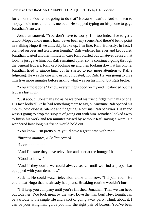for a month. You're not going to do that? Because I can't afford to listen to mopey indie music, it bums me out." He stopped typing on his phone to gage Jonathan's answer.

Jonathan snorted. "You don't have to worry. I'm too indecisive to get a tattoo. Mopey indie music hasn't ever been my scene. And there'd be no point in stalking Hugo if we amicably broke up. I'm fine, Rafi. Honestly. In fact, I planned on beer and television tonight." Rafi widened his eyes and kept quiet. Jonathan waited another minute in case Rafi blurted out whatever caused that look he just gave him, but Rafi remained quiet, so he continued going through the general ledgers. Rafi kept looking up and then looking down at his phone. Jonathan tried to ignore him, but he started to pay more attention to Rafi's fidgeting. He was the one who usually fidgeted, not Rafi. He was going to give him five more minutes before asking what was on his mind, but Rafi broke.

"You almost done? I know everything is good on my end. I balanced out the ledgers last night."

"Just about," Jonathan said as he watched his friend fidget with his phone. His face looked like he had something more to say, but anytime Rafi opened his mouth, he'd close it. Silence and fidgeting? Not usual Rafi behavior. His friend wasn't going to drop the subject of going out with him. Jonathan looked away to finish his work and ten minutes passed by without Rafi saying a word. He wondered how long his friend would hold out.

"You know, I'm pretty sure you'd have a great time with me."

*Nineteen minutes, a Balian record.*

"I don't doubt it."

"And I'm sure they have television and beer at the lounge I had in mind."

"Good to know."

"And if they don't, we could always search until we find a proper bar equipped with your demands."

Fuck it. He could watch television alone tomorrow. "I'll join you." He could text Hugo that he already had plans. Breaking routine wouldn't hurt.

"I'll keep you company until you're finished, Jonathan. Then we can head out together. You look great by the way. Love the man bun! Hey, tonight can be a tribute to the single life and a sort of going away party. Think about it. I can be your wingman, guide you into the right pair of boxers. You've been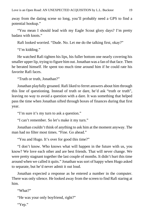away from the dating scene so long, you'll probably need a GPS to find a potential hookup."

"You mean I should lead with my Eagle Scout glory days? I'm pretty badass with knots."

Rafi looked worried. "Dude. No. Let me do the talking first, okay?"

"I'm kidding."

He watched Rafi tighten his lips, his fuller bottom one nearly covering his smaller upper lip, trying to figure him out. Jonathan was a fan of that face. Then he berated himself. He spent too much time around him if he could rate his favorite Rafi faces.

"Truth or truth, Jonathan?"

Jonathan playfully groaned. Rafi liked to ferret answers about him through this line of questioning. Instead of truth or dare, he'd ask "truth or truth", leaving no way to avoid a question with a dare. It was something that helped pass the time when Jonathan sifted through boxes of finances during that first year.

"I'm sure it's my turn to ask a question."

"I can't remember. So let's make it my turn."

Jonathan couldn't think of anything to ask him at the moment anyway. The man had no filter most times. "Fine. Go ahead."

"You and Hugo. It's over for good this time?"

"I don't know. Who knows what will happen in the future with us, you know? We love each other and are best friends. That will never change. We were pretty stagnant together the last couple of months. It didn't hurt this time around when we called it quits." Jonathan was sort of happy when Hugo asked to separate, but he'd never admit it out loud.

Jonathan expected a response as he entered a number in the computer. There was only silence. He looked away from the screen to find Rafi staring at him.

"What?"

"He was your only boyfriend, right?"

"Yep."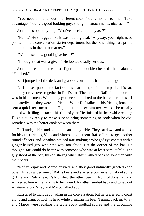"You need to branch out to different cock. You're home free, man. Take advantage. You're a good looking guy, young, no attachments, nice ass—"

Jonathan stopped typing. "You've checked out my ass?"

"Habit." He shrugged like it wasn't a big deal. "Anyway, you might need pointers in the conversation-starter department but the other things are prime commodities in the meat market."

"What else, how good I give head?"

"I thought that was a given." He looked deadly serious.

Jonathan entered the last figure and double-checked the balance. "Finished."

Rafi jumped off the desk and grabbed Jonathan's hand. "Let's go!"

Rafi chose a pub not too far from his apartment, so Jonathan parked his car, and they drove over together in Rafi's car. The moment Rafi hit the door, he was in his element. While they got beers, he talked to the bartender and staff animatedly like they were old friends. While Rafi talked to his friends, Jonathan sent a quick text message to Hugo that he'd see him next week—he usually helped with filing his taxes this time of year. He finished his beer while reading Hugo's quick reply to make sure to bring something to cook when he did. Jonathan was the better cook between them.

Rafi nudged him and pointed to an empty table. They sat down and waited for his other friends, Vijay and Marco, to join them. Rafi offered to get another round of beers, and Jonathan noticed Rafi making prolonged eye contact with a ginger-haired guy who was way too obvious at the corner of the bar. He thought Rafi could do better with someone who was at least semi-subtle. The guy stood at the bar, full-on staring when Rafi walked back to Jonathan with their beers.

"Rafi!" Vijay and Marco arrived, and they good naturedly greeted each other. Vijay swiped one of Rafi's beers and started a conversation about some girl he and Rafi knew. Rafi pushed the other beer in front of Jonathan and winked at him while talking to his friend. Jonathan smiled back and tuned out whatever story Vijay and Marco talked about.

Rafi tried to include Jonathan in the conversation, but he preferred to coast along and grunt or nod his head while drinking his beer. Tuning back in, Vijay and Marco were regaling the table about football scores and the upcoming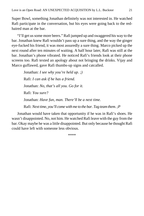Super Bowl, something Jonathan definitely was not interested in. He watched Rafi participate in the conversation, but his eyes were going back to the redhaired man at the bar.

"I'll get us some more beers." Rafi jumped up and swaggered his way to the bar. Jonathan knew Rafi wouldn't pass up a sure thing, and the way the ginger eye-fucked his friend, it was most assuredly a sure thing. Marco picked up the next round after ten minutes of waiting. A half hour later, Rafi was still at the bar. Jonathan's phone vibrated. He noticed Rafi's friends look at their phone screens too. Rafi texted an apology about not bringing the drinks. Vijay and Marco guffawed, gave Rafi thumbs-up signs and catcalled.

Jonathan: *I see why you're held up. ;)* Rafi: *I can ask if he has a friend.* Jonathan: *No, that's all you. Go for it.* Rafi: *You sure?* Jonathan: *Have fun, man. There'll be a next time.* Rafi: *Next time, you'll come with me to the bar. Tag team them. ;P*

Jonathan would have taken that opportunity if he was in Rafi's shoes. He wasn't disappointed. No, not him. He watched Rafi leave with the guy from the bar. Okay maybe he was a little disappointed. But only because he thought Rafi could have left with someone less obvious.

\*\*\*\*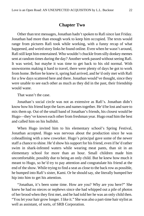#### **Chapter Two**

Other than text messages, Jonathan hadn't spoken to Rafi since last Friday. Jonathan had more than enough work to keep him occupied. The texts would range from pictures Rafi took while working, with a funny recap of what happened, and weird story links he found online. Even when he wasn't around, Rafi still kept him entertained. Who wouldn't chuckle from silly donkey memes sent at random times during the day? Another week passed without seeing Rafi. It was weird, but maybe it was time to get back to his old normal. With snowstorms making it hard to travel, there were plenty of days he got to work from home. Before he knew it, spring had arrived, and he'd only met with Rafi for a few days scattered here and there. Jonathan would've thought, since they were unable to see each other as much as they did in the past, their friendship would wane.

That wasn't the case.

Jonathan's social circle was not as extensive as Rafi's. Jonathan didn't know how his friend kept the faces and names together. He'd be lost and sure to mix them up. Out of the small band of Jonathan's friends, his closest would be Hugo—they've known each other from freshman year. Hugo read him the best and called him on his bullshit.

When Hugo invited him to his elementary school's Spring Festival, Jonathan accepted. Hugo was nervous about the production since he was coheadlining with a new coworker. Hugo's principal gave some of the newer staff a chance to shine. He'd show his support for his friend, even if he'd rather swim in shark-infested waters while wearing meat pants, than sit in an elementary school for more than an hour. Small children made him uncomfortable, possibly due to being an only child. But he knew how much it meant to Hugo, so he'd try to pay attention and congratulate his friend at the end of the show. While trying to find a seat as close to the back row as possible, he bumped into Rafi's sister, Kami. Or he should say, she literally bumped her hip into him to get his attention.

"Jonathan, it's been some time. How are you? Why are you here?" She knew he had no nieces or nephews since she had whipped out a pile of photos of her brood when they first met, and he had told her he was an only child then. "You let your hair grow longer. I like it." She was also a part-time hair stylist as well as assistant, of sorts, of SRB Corporation.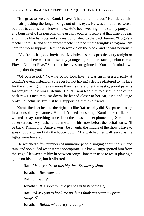"It's great to see you, Kami. I haven't had time for a cut." He fiddled with his hair, pushing the longer bangs out of his eyes. He was about three weeks overdue to cut his dark-brown locks. He'd been wearing more stubby ponytails and buns lately. His personal time usually took a nosedive at that time of year, and things like haircuts and shaves got pushed to the back burner. "Hugo's a teacher here. He and another new teacher helped create tonight's program. I'm here for moral support. He's the newer kid on the block, and he was nervous."

"You're such a good boyfriend. My hubs has track practice duty tonight or else he'd be here with me to see my youngest girl in her starring debut role as Flower Number Five." She rolled her eyes and grinned. "You don't mind if we sit together do you?"

"Of course not." Now he could look like he was an interested party at tonight's event instead of a creeper for not having a device plastered to his face for the entire night. He saw more than his share of enthusiastic, proud parents for tonight to last him a lifetime. He let Kami lead him to a seat in one of the back rows. Once they sat down, he leaned closer to her ear, "Me and Hugo broke up, actually. I'm just here supporting him as a friend."

Kami tilted her head to the right just like Rafi usually did. She patted his leg in a consolatory manner. He didn't need consoling. Kami looked like she wanted to say something more about the news, but her phone rang. She smiled at her screen. "My husband. Let me talk to him now before the recital starts. I'll be back. Thankfully, Amaya won't be on until the middle of the show. I have to speak loudly when I talk the hubby down." He watched her walk away as the lights were lowered.

He watched a few numbers of miniature people singing about the sun and rain, and applauded when it was appropriate. He knew Hugo spotted him from the stage. He waved at him in between songs. Jonathan tried to resist playing a game on his phone, but it vibrated.

Rafi: *I hear you're at this big time Broadway show.* Jonathan: *Box seats too.* Rafi: *Oh yeah?* Jonathan: *It's good to have friends in high places. ;)* Rafi: *I'd ask you to hook me up, but I think it's outta my price range. ;P* Jonathan: *Balian what are you doing?*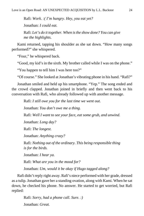Rafi: *Work. :( I'm hungry. Hey, you eat yet?*

Jonathan: *I could eat.*

Rafi: *Let's do it together. When is the show done? You can give me the highlights.*

Kami returned, tapping his shoulder as she sat down. "How many songs performed?" she whispered.

"Four," he whispered back.

"Good, my kid's in the sixth. My brother called while I was on the phone."

"You happen to tell him I was here too?"

"Of course." She looked at Jonathan's vibrating phone in his hand. "Rafi?"

Jonathan smiled and held up his smartphone. "Yep." The song ended and the crowd clapped. Jonathan joined in briefly and then went back to his conversation with Rafi, who already followed up with another message.

Rafi: *I still owe you for the last time we went out.*

Jonathan: *You don't owe me a thing.*

Rafi: *Well I want to see your face, eat some grub, and unwind.*

Jonathan: *Long day?*

Rafi: *The longest.*

Jonathan: *Anything crazy?*

Rafi: *Nothing out of the ordinary. This being responsible thing is for the birds.*

Jonathan: *I hear ya.*

Rafi: *What are you in the mood for?*

Jonathan: *Um, would it be okay if Hugo tagged along?*

Rafi didn't reply right away. Rafi's niece performed with her grade, dressed as a tulip. Jonathan gave her a standing ovation, along with Kami. When he sat down, he checked his phone. No answer. He started to get worried, but Rafi replied:

Rafi: *Sorry, had a phone call. Sure. :)* Jonathan: *Great.*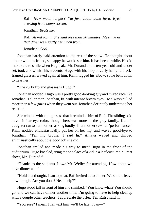Rafi: *How much longer? I'm just about done here. Eyes crossing from comp screen.*

Jonathan: *Beats me.*

Rafi: *Asked Kami. She said less than 30 minutes. Meet me at that diner we usually get lunch from.*

Jonathan: *Cool.*

Jonathan barely paid attention to the rest of the show. He thought about dinner with his friend, so happy he would see him. It has been a while. He did make sure to smile when Hugo, aka Mr. Durand to the ten-year-old-and-under set, took a bow with his students. Hugo with his mop of curly hair and blackframed glasses, waved again at him. Kami tugged his elbow, so he bent down to hear her.

"The curly fro and glasses is Hugo?"

Jonathan nodded. Hugo was a pretty good-looking guy and mixed race like Jonathan. Taller than Jonathan, fit, with intense brown eyes. He always pulled more than a few gazes when they went out. Jonathan definitely understood her reaction.

She winked with enough sass that it reminded him of Rafi. The siblings did have similar eye color, though hers was more in the gray family. Kami's daughter ran to her mother, asking loudly if her mother saw her "performance." Kami nodded enthusiastically, put her on her hip, and waved good-bye to Jonathan. "Tell my brother I said hi." Amaya waved and chirped enthusiastically about the good job she did.

Jonathan smiled and made his way to meet Hugo in the front of the auditorium. Hugo kneeled, tying the shoelace of a kid in a leaf costume. "Great show, Mr. Durand."

"Thanks to the students. I owe Mr. Weller for attending. How about we have dinner at—"

"Hold that thought. I can top that. Rafi invited us to dinner. We should leave now though. Are you done? Need help?"

Hugo stood tall in front of him and smirked. "You know what? You should go, and we can have dinner another time. I'm going to have to help cleanup with a couple other teachers. I appreciate the offer. Tell Rafi I said hi."

"You sure? I mean I can text him we'll be late. I can—"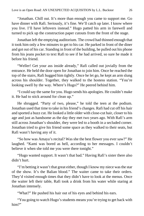"Jonathan. Chill out. It's more than enough you came to support me. Go have dinner with Rafi. Seriously, it's fine. We'll catch up later. I know where you live. I'll have leftovers instead." Hugo patted his arm in farewell and turned to pick up the construction paper cutouts from the front of the stage.

Jonathan left the emptying auditorium. The crowd had thinned enough that it took him only a few minutes to get to his car. He parked in front of the diner and got out of his car. Standing in front of the building, he pulled out his phone from his jeans pocket to text Rafi to see if he had arrived, so sure he made it before his friend.

"Weller! Get your ass inside already," Rafi called out jovially from the entrance. He held the door open for Jonathan to join him. Once he reached the top of the stairs, Rafi hugged him tightly. Once he let go, he kept an arm slung across his shoulder. Together, they walked to the hostess station. "You're looking swell by the way. Where's Hugo?" He peered behind him.

"I could say the same for you. Hugo sends his apologies. He couldn't make it. He had to stick around for clean up."

He shrugged. "Party of two, please," he told the teen at the podium. Jonathan used that time to take in his friend's changes. Rafi had cut off his hair and sported a buzz cut. He looked a little older with close-cut hair, closer to his age and just as handsome as the day they met two years ago. With Rafi's arm still across Jonathan's shoulder, they were led to a booth in a secluded corner. Jonathan tried to give his friend some space as they walked to their seats, but Rafi wasn't having any of it.

"So how was Amaya's recital? Was she the best flower you ever saw?" He laughed. "Kami was bored as hell, according to her messages. I couldn't believe it when she told me you were there tonight."

"Hugo wanted support. It wasn't that bad." Having Rafi's sister there also didn't hurt.

"I'm betting it wasn't that great either, though I know my niece was the star of the show. It's the Balian blood." The waiter came to take their orders. They'd visited enough times that they didn't have to look at the menus. Once the waiter left their table, Rafi took a drink from his water while staring at Jonathan intensely.

"What?" He pushed his hair out of his eyes and behind his ears.

"You going to watch Hugo's students means you're trying to get back with him?"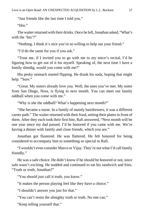"Just friends like the last time I told you."

" $Hm$ "

The waiter returned with their drinks. Once he left, Jonathan asked, "What's with the 'hm'?"

"Nothing. I think it's nice you're so willing to help out your friend."

"I'd do the same for you if you ask."

"Trust me, if I invited you to go with me to my niece's recital, I'd be figuring how to get out of it for myself. Speaking of, the next time I have a family shindig, would you come with me?"

His pesky stomach started flipping. He drank his soda, hoping that might help. "Sure."

"Great. My sisters already love you. Well, the ones you've met. My sister from San Diego, Nora, is flying in next month. You can meet our family oddball when you come with me."

"Why is she the oddball? What's happening next month?"

"She became a nurse. In a family of mainly hairdressers, it was a different career path." The waiter returned with their food, setting their plates in front of them. After they each took their first bite, Rafi answered, "Next month will be one year since my dad passed. I'd be honored if you came with me. We're having a dinner with family and close friends, which you are."

Jonathan got flustered. He was flattered. He felt honored for being considered to accompany him to something so special to Rafi.

"I wouldn't even consider Marco or Vijay. They're not what I'd call family friendly."

He was a safe choice. He didn't know if he should be honored or not, since safe wasn't exciting. He nodded and continued to eat his sandwich and fries. "Truth or truth, Jonathan?"

"You should just call it truth, you know."

"It makes the person playing feel like they have a choice."

"I shouldn't answer you just for that."

"You can't resist the almighty truth or truth. No one can."

"Keep telling yourself that."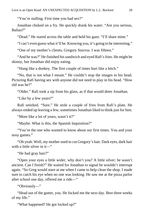"You're stalling. First time you had sex?"

Jonathan choked on a fry. He quickly drank his water. "Are you serious, Balian?"

"Dead." He stared across the table and held his gaze. "I'll share mine."

"I can't even guess what it'll be. Knowing you, it's going to be interesting."

"One of my mother's clients, Gregory Stavros. I was fifteen."

"And he was?" He finished his sandwich and eyed Rafi's fries. He might be skinny, but Jonathan did enjoy eating.

"Hung like a donkey. The first couple of times hurt like a bitch."

"No, that is not what I meant." He couldn't stop the images in his head. Picturing Rafi having sex with anyone did not need to play in his head. "How old was he?"

"Older." Rafi took a sip from his glass, as if that would deter Jonathan.

"Like by a few years?"

Rafi smirked. "Sure." He stole a couple of fries from Rafi's plate. He always ended up leaving a few, sometimes Jonathan liked to think just for him.

"More like a lot of years, wasn't it?"

"Maybe. What is this, the Spanish Inquisition?"

"You're the one who wanted to know about our first times. You and your nosy games."

"Oh yeah. Well, my mother used to cut Gregory's hair. Dark eyes, dark hair with a little silver in it—"

"He had gray hair?"

"Open your eyes a little wider, why don't you? A little silver; he wasn't ancient. Can I finish?" He waited for Jonathan to signal he wouldn't interrupt again. "So Greg would stare at me when I came to help clean the shop. I made sure to catch his eye when no one was looking. He saw me at the pizza parlor after school one day, offered me a ride—"

"Obviously—"

"Head out of the gutter, you. He fucked me the next day. Best three weeks of my life."

"What happened? He got locked up?"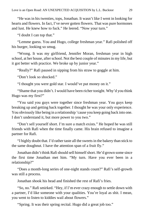"He was in his twenties, tops, Jonathan. It wasn't like I went in looking for hearts and flowers. In fact, I've never gotten flowers. That was pure hormones and lust. He knew how to fuck." He leered. "Now your turn."

"I doubt I can top that."

"Lemme guess. You and Hugo, college freshman year." Rafi polished off his burger, looking so smug.

"Wrong. It was my girlfriend, Jennifer Moran, freshman year in high school, at her house, after school. Not the best couple of minutes in my life, but it got better with practice. We broke up by junior year."

"Really?" Rafi paused in sipping from his straw to goggle at him.

"Don't look so shocked."

"I thought you were gold star. I would've put money on it."

"Shame that you didn't. I would have been richer tonight. Why'd you think Hugo was my first?"

"You said you guys were together since freshman year. You guys keep breaking up and getting back together. I thought he was your only experience. You obviously like being in a relationship 'cause you keep going back into one. I don't understand it, but more power to you two."

"Don't sell yourself short. I'm sure a match exists." He hoped he was still friends with Rafi when the time finally came. His brain refused to imagine a partner for Rafi.

"I highly doubt that. I'd rather taste all the sweets in the bakery than stick to the same doughnut. I have the attention span of a fruit fly."

Jonathan didn't think Rafi should sell himself short. He'd grown some since the first time Jonathan met him. "My turn. Have you ever been in a relationship?"

"Does a month-long series of one-night stands count?" Rafi's self-growth was still a process.

Jonathan shook his head and finished the rest of Rafi's fries.

"So, no." Rafi smirked. "Hey, if I'm ever crazy enough to settle down with a partner, I'd like someone with your qualities. You're loyal as shit. I mean, you went to listen to kiddies wail about flowers."

"Spring. It was their spring recital. Hugo did a great job too."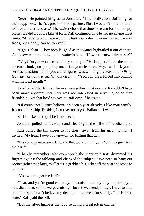"See?" He pointed his glass at Jonathan. "Total dedication. Suffering for their happiness. That's a great trait for a partner. Plus, I wouldn't mind for them to have a nice round ass." The waiter chose that time to return for their empty plates. He did a double take at Rafi. Rafi continued on. He had no shame most times. "A nice looking face wouldn't hurt, not a deal breaker though. Beauty fades, but a booty can be forever."

"Ugh, Balian." They both laughed as the waiter hightailed it out of there. God knew what ran through the waiter's head. "How's the new hairdresser?"

"Why? Do you want a cut? I like your length." He laughed. "I like the urban caveman look you got going on. It fits your features. Hey, can I ask you a serious question? I think you could figure I was working my way to it." *Oh my God, he was going to ask him out on a da*—"You don't feel forced into coming with me next month?"

Jonathan chided himself for even going down that avenue. It couldn't have been more apparent that Rafi was not interested in anything other than friendship. Not that he'd say yes to Rafi even if he asked.

"Of course not. I can't believe it's been a year already. I like your family. It's not a hardship. Besides, I can say no to you Balians if I want."

Rafi smirked and grabbed the check.

Jonathan pulled out his wallet and tried to grab the bill with his other hand.

Rafi pulled the bill closer to his chest, away from his grip. "C'mon, I invited. My treat. I owe you anyway for bailing that day."

"No apology necessary. How did that work out for you? With the guy from the bar?"

"I barely remember. Not even worth the mention." Rafi drummed his fingers against the tabletop and changed the subject. "We need to hang out sooner rather than later, Weller." He grabbed his jacket off the seat and stood to put it on.

"You want to get me laid?"

"That, and you're good company. I promise to do my duty in getting you new dick the next time we go cruising. Not this weekend, though. I have to help out at the spa. I can't believe my decline in free weekends lately. This is a sad state." Rafi paid the bill.

"But the silver lining is that you're doing a great job in charge."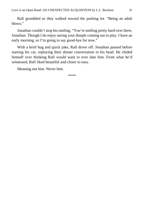Rafi grumbled as they walked toward the parking lot. "Being an adult blows."

Jonathan couldn't stop his smiling. "You're smiling pretty hard over there, Jonathan. Though I do enjoy seeing your dimple coming out to play. I have an early morning, so I'm going to say good-bye for now."

With a brief hug and quick joke, Rafi drove off. Jonathan paused before starting his car, replaying their dinner conversation in his head. He chided himself over thinking Rafi would want to ever date him. From what he'd witnessed, Rafi liked beautiful and closer to easy.

Meaning not him. Never him.

\*\*\*\*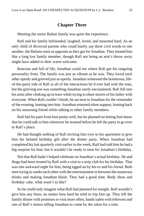#### **Chapter Three**

<span id="page-31-0"></span>Meeting the entire Balian family was quite the experience.

Rafi and his family befriended, laughed, loved, and mourned hard. As an only child of divorced parents who could barely say three civil words to one another, the Balians were as opposite as they got for Jonathan. They treated him like a long lost family member, though Rafi not being an arm's throw away might have added to their warm welcome.

Raucous and full of life, Jonathan could see where Rafi got his outgoing personality from. The family was just as vibrant as he was. They loved each other openly and grieved just as openly. Jonathan witnessed the boisterous, lifeof-the-party side of Rafi in all of the interactions he'd ever had with the man, but the grieving son was something Jonathan rarely encountered. Rafi fell into his arms after choking up in tears while trying to share stories of his father with everyone. When Rafi couldn't finish, he sat next to Jonathan for the remainder of the evening, leaning into him. Jonathan returned silent support, leaning back on his mourning friend while talking to other family members.

Rafi hid his pain from him pretty well, but he planned on letting him know that he could talk to him whenever he wanted before he left the party to go over to Rafi's place.

He had thought nothing of Rafi inviting him over to his apartment to give him his belated birthday gift after the dinner party. When Jonathan had completed his last quarterly visit earlier in the week, Rafi had told him he had a big surprise for him, but it wouldn't be ready in time for Jonathan's birthday.

Not that Rafi hadn't helped celebrate on Jonathan's actual birthday. He and Hugo had been treated by Rafi with a visit to a strip club for his birthday. That was one awkward night for him, being egged on by his ex and his friend. Both men trying to outdo each other with the entertainment in between the numerous drinks and making Jonathan blush. They had a good time. Body shots and birthday cake, what wasn't to like?

So he could only imagine what Rafi had planned for tonight. Rafi wouldn't give him any hints, no matter how hard he tried to trip him up. They left the family dinner with promises to visit more often, hands laden with leftovers and one of Rafi's sisters telling Jonathan to come by the salon for a trim.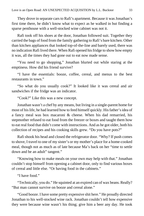They drove in separate cars to Rafi's apartment. Because it was Jonathan's first time there, he didn't know what to expect as he walked in but finding a sparse penthouse with a well-stocked wine cabinet was not it.

Rafi took off his shoes at the door, Jonathan followed suit. Together they carried the bags of food from the family gathering to Rafi's bare kitchen. Other than kitchen appliances that looked top-of-the-line and barely used, there was no indication Rafi lived there. When Rafi opened his fridge to show how empty it was, all the times they had gone out to eat now made sense.

"You need to go shopping," Jonathan blurted out while staring at the emptiness. How did his friend survive?

"I have the essentials: booze, coffee, cereal, and menus to the best restaurants in town."

"So what do you usually cook?" It looked like it was cereal and air sandwiches if the fridge was an indicator.

"Cook?" Like this was a new concept.

Jonathan wasn't a chef by any means, but living in a single-parent home for most of his life, he had learned how to feed himself quickly. His father's idea of a fancy meal was box macaroni & cheese. When his dad remarried, his stepmother refused to eat food from the freezer or boxes and taught them how to eat real food that didn't come with instructions. And as he got older, both his collection of recipes and his cooking skills grew. "Do you have pots?"

Rafi shook his head and closed the refrigerator door. "Why? If push comes to shove, I travel to one of my sister's or my mother's place for a home-cooked meal, though not as much as of late because Ma's back on her "time to settle down and be an adult" tangent."

"Knowing how to make meals on your own may help with that." Jonathan couldn't stop himself from opening a cabinet door, only to find various boxes of cereal and little else. "Or having food in the cabinets."

"I have food."

"Technically, you do." He squinted at an expired can of wax beans. Really? "But man cannot survive on booze and cereal alone."

"Good booze. I have some pretty expensive shit here." He proudly directed Jonathan to his well-stocked wine rack. Jonathan couldn't tell how expensive they were because wine wasn't his thing; give him a beer any day. He took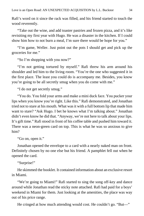Rafi's word on it since the rack was filled, and his friend started to touch the wood reverently.

"Take out the wine, and add toaster pastries and frozen pizza, and it's like revisiting my first year with Hugo. He was a disaster in the kitchen. If I could show him how to not burn a meal, I'm sure there would be hope for you."

"I'm game, Weller. Just point out the pots I should get and pick up the groceries for me."

"So I'm shopping with you now?"

"I'm not getting tortured by myself." Rafi threw his arm around his shoulder and led him to the living room. "You're the one who suggested it in the first place. The least you could do is accompany me. Besides, you know you're going to be all secretly smug when you do come with me."

"I do not get secretly smug."

"You do. You fold your arms and make a mini duck face. You pucker your lips when you know you're right. Like this." Rafi demonstrated, and Jonathan tried not to stare at his mouth. What was it with a full bottom lip that made him want to stare? "Ask Hugo. I bet he knows what I'm talking about." Jonathan didn't even know he did that. "Anyway, we're not here to talk about your lips. It's gift time." Rafi stood in front of his coffee table and pushed him toward it. There was a neon-green card on top. This is what he was so anxious to give him?

"Go on, open it."

Jonathan opened the envelope to a card with a nearly naked man on front. Definitely chosen by no one else but his friend. A pamphlet fell out when he opened the card.

"Surprise!"

He skimmed the booklet. It contained information about an exclusive resort in Miami.

"We're going to Miami!" Rafi started to sing the song off-key and dance around while Jonathan read the sticky note attached. Rafi had paid for a boys' weekend in Miami for them. Just looking at the amenities, the place was way out of his price range.

He cringed at how much attending would cost. He couldn't go. "But—"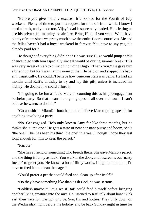"Before you give me any excuses, it's booked for the Fourth of July weekend. Plenty of time to put in a request for time off from work. I know I need a break, and you do too. Vijay's dad is supremely loaded. He's letting us use his private jet, meaning no air fare. Bring Hugo if you want. We'll have plenty of room since we pretty much have the entire floor to ourselves. Me and the fellas haven't had a boys' weekend in forever. You have to say yes, it's already paid for."

He thought of everything didn't he? He was sure Hugo would jump at this chance to go with him especially since it would be during summer break. This was very sweet of Rafi to think of including Hugo. "Thank you." He gave him a brief hug, but Rafi was having none of that. He held on and slapped his back enthusiastically. He couldn't believe how generous Rafi was being. He had six months until Rafi's birthday to try and top this gift, unless it included his kidney. He doubted he could afford it.

"It's going to be fun as fuck. Marco's counting this as his preengagement bachelor party. So that means he's going apeshit all over that town. I can't believe he wants to do this."

"Go apeshit in Miami?" Jonathan could believe Marco going apeshit for anything involving a party.

"No. Get engaged. He's only known Amy for like three months, but he thinks she's 'the one.' He gets a taste of new constant pussy and boom, she's 'the one.' This has been his third 'the one' in a year. Though I hope they last long enough for him to keep the parrot."

"Parrot?"

"She has a friend or something who breeds them. She gave Marco a parrot, and the thing is funny as fuck. You walk in the door, and it screams out 'nasty fucker' to greet you. He knows a lot of filthy words. I'd get one too, but I'd have to feed it and clean the cage."

"You'd prefer a pet that could feed and clean up after itself?"

"Do they have something like that?" Oh God, he was serious.

"Goldfish maybe?" Let's see if Rafi could feed himself before bringing another living creature into the mix. He listened to Rafi talk about how "kick ass" their vacation was going to be. Sun, fun and hotties. They'd fly down on the Wednesday night before the holiday and be back Sunday night in time for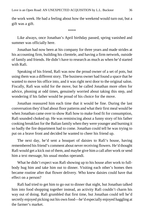the work week. He had a feeling about how the weekend would turn out, but a gift was a gift.

\*\*\*\*

Like always, once Jonathan's April birthday passed, spring vanished and summer was officially here.

Jonathan had now been at his company for three years and made strides at his accounting firm, building his clientele, and having a firm network, outside of family and friends. He didn't have to research as much as when he'd started with Rafi.

Speaking of his friend, Rafi was now the proud owner of a set of pots, but using them was a different story. The business owner had found a space that he wanted to move his office into, and it was right next door to the original salon. Fiscally, Rafi was solid for the move, but he called Jonathan more often for advice, phoning at odd times, genuinely worried about taking this step, and wondering if his father would be proud of his choice for the move.

Jonathan reassured him each time that it would be fine. During the last conversation they'd had about floor patterns and what their first meal would be when Jonathan came over to show Rafi how to make food fit for consumption, Rafi sounded choked up. He was reminiscing about a funny story of his father cooking breakfast for the Balian family when they were younger and burning it so badly the fire department had to come. Jonathan could tell he was trying to put on a brave front and decided he wanted to cheer his friend up.

The next day, he'd sent a bouquet of daisies to Rafi's house, having remembered his friend's comment about never receiving flowers. He'd thought Rafi would get a kick out of them, and maybe give him a call after work or send him a text message, his usual modus operandi.

What he didn't expect was Rafi showing up to his house after work to fullbody hug him and take him out to dinner. Visiting each other's homes then became routine after that flower delivery. Who knew daisies could have that effect on a person?

Rafi had tried to get him to go out to dinner that night, but Jonathan talked him into food shopping together instead, an activity Rafi couldn't charm his way out of doing. Rafi grumbled that first time, but Jonathan could tell he'd secretly enjoyed picking out his own food—he'd especially enjoyed haggling at the farmer's market.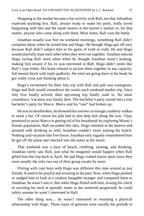Shopping at the market became a fun activity with Rafi, not that Johnathan expected anything less. Rafi, always ready to make his point, really loved bargaining with him and the stand owners at the farmer's market or, for that matter, anyone who came along with them. Most times, Rafi won the battle.

Jonathan usually was free on weekend mornings, something Rafi didn't complain about when he joined him and Hugo. He thought Hugo got off easy because Rafi didn't subject him to his game of truth or truth. He and Hugo would playfully tease each other when they were out together. Jonathan noticed Hugo eyeing Rafi more often when he thought Jonathan wasn't looking, making him unsure if his ex was interested in Rafi. Hugo didn't seem like Rafi's type either. His brain refused to picture them together in any capacity, full mental block with triple padlocks. He tried not going there in his head; he got really cross just thinking about it.

Hugo's excitement for their July trip with Rafi and pals was contagious. Hugo and Rafi would countdown the weeks each weekend market trip. Once July first finally arrived, their upcoming trip finally sunk in. No more countdown. Vacation was finally here. The bachelor's party turned into a true bachelor's party for Marco. Marco and his "one" had broken up.

He was so heartbroken, he drowned his sorrows in enough cranberry vodkas to stock a bar. Of course his pals had to also help him along the way. Vijay promised to assist Marco in getting rid of his heartbreak by exploring Miami's female population. Rafi seconded this idea. Hugo smirked at the heteros and assisted with drinking as well, Jonathan couldn't resist joining the bunch. Nothing said vacation like free booze. Jonathan only vaguely remembered how he got off the plane and checked into the suites at the resort.

That weekend was a haze of beach, clubbing, tanning, and drinking. Jonathan rarely saw Rafi, just what he imagined would happen when Rafi gifted him this trip back in April. He and Hugo visited tourist spots since they were usually the only two out of their group awake by noon.

Flirting with cute boys with Hugo was different this time around as just friends. It used to be playful and arousing in the past. Now, when Hugo pointed or nudged him to look at a random bangable stranger and compared them to Jonathan, he wasn't into it. But when Hugo flirted with him, kissing his check or nuzzling his neck at sporadic times as the weekend progressed, he could safely assume he wasn't interested in Rafi.

The other thing was… he wasn't interested in resuming a physical relationship with Hugo. Those types of gestures were usually the prelude to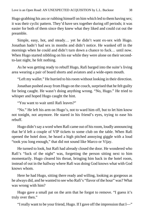Hugo grabbing his ass or rubbing himself on him which led to them having sex; it was their cyclic pattern. They'd have sex together during off periods; it was easier for both of them since they knew what they liked and could cut out the preamble.

Simple, easy, hot, and steady… yet he didn't want ex-sex with Hugo. Jonathan hadn't had sex in months and didn't notice. He wanked off in the mornings when he could and didn't turn down a chance to fuck… until now. When Hugo started nibbling on his ear while they were alone on their secondto-last night, he felt nothing.

As he was getting ready to rebuff Hugo, Rafi barged into the suite's living area wearing a pair of board shorts and aviators and a wide-open mouth.

"Left my wallet." He hurried to his room without looking in their direction.

Jonathan pushed away from Hugo on the couch, surprised that he felt guilty for being caught. He wasn't doing anything wrong. "No, Hugo." He tried to whisper and hoped Hugo caught the hint.

"You want to wait until Rafi leaves?"

"No." He left his arm on Hugo's, not to ward him off, but to let him know not tonight, not anymore. He stared in his friend's eyes, trying to ease his rebuff.

Hugo didn't say a word when Rafi came out of his room, loudly announcing that he'd left a couple of VIP tickets to some club on the table. When Rafi opened the hotel door, he heard a high pitched annoying giggle with a loud "took you long enough," that did not sound like Marco or Vijay.

He turned to look, but Rafi had already closed the door. He wondered who Rafi's "fuck of the night" was, forgetting the person sitting next to him momentarily. Hugo cleared his throat, bringing him back in the hotel room, instead of out in the hallway where Rafi was doing God knows what with God knows whom.

Here he had Hugo, sitting there ready and willing, looking as gorgeous as he always did, and he wanted to see who Rafi's "flavor of the hour" was? What was wrong with him?

Hugo gave a small pat on the arm that he forgot to remove. "I guess it's truly over then."

"I really want to be your friend, Hugo. If I gave off the impression that I—"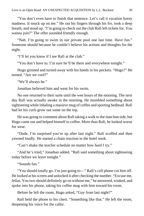"You don't even have to finish that sentence. Let's call it vacation horny madness. It snuck up on me." He ran his fingers through his fro, took a deep breath, and stood up. "I'm going to check out the club Rafi left tickets for. You wanna join?" The offer sounded friendly enough.

"Nah. I'm going to swim in our private pool one last time. Have fun." Someone should because he couldn't believe his actions and thoughts for the night.

"I'll let you know if I see Rafi at the club."

"You don't have to. I'm sure he'll be there and everywhere tonight."

Hugo grinned and turned away with his hands in his pockets. "Hugo?" He turned. "Are we cool?"

"We'll always be."

Jonathan believed him and went for his swim.

No one returned to their suite until the wee hours of the morning. The next day Rafi was actually awake in the morning. He mumbled something about sightseeing while inhaling a massive mug of coffee and sporting bedhead. Rafi had let his curls grow out some on the top.

He was going to comment about Rafi taking a walk to the man bun side, but Hugo came out and helped himself to coffee. More than Rafi, he looked worse for wear.

"Dude, I'm surprised you're up after last night." Rafi scoffed and then yawned loudly. He started a chain reaction in the hotel nook.

"Can't shake the teacher schedule no matter how hard I try."

"And he's tried," Jonathan added. "Rafi said something about sightseeing today before we leave tonight."

"Sounds fun."

"You should totally go. I'm just going to—" Rafi's cell phone cut him off. He looked at his screen and unlocked it after checking the number. "Excuse me, fellas. You two should definitely go on without me," he answered, winked, and spoke into his phone, taking his coffee mug with him toward his room.

Before he left the room, Hugo asked, "Guy from last night?"

Rafi held the phone to his chest. "Something like that." He left the room, deepening his voice for the caller.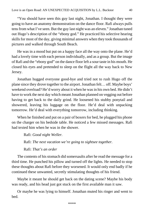"You should have seen this guy last night, Jonathan. I thought they were going to have an anatomy demonstration on the dance floor. Rafi always pulls tens from what I've seen. But the guy last night was an eleven." Jonathan tuned out Hugo's description of the "ebony god." He practiced his selective hearing skills for most of the day, giving minimal answers when they took thousands of pictures and walked through South Beach.

He was in a mood but put on a happy face all the way onto the plane. He'd had a lovely time with each person individually, and as a group. But the image of Rafi and the "ebony god" on the dance floor left a sour taste in his mouth. He closed his eyes and pretended to sleep on the flight all the way back to New Jersey.

Jonathan hugged everyone good-bye and tried not to rush Hugo off the plane since they drove together to the airport. Jonathan felt… off. Maybe boys' weekend overload? He'd worry about it when he was in his own bed. He didn't have to work the next day which meant Jonathan planned on vegging out before having to get back to the daily grind. He loosened his stubby ponytail and showered, leaving his luggage on the floor. He'd deal with unpacking tomorrow. He'd deal with everything tomorrow, including thinking.

When he finished and put on a pair of boxers for bed, he plugged his phone on the charger on his bedside table. He noticed a few missed messages. Rafi had texted him when he was in the shower.

Rafi: *Good night Weller.*

Rafi: *The next vacation we're going to sightsee together.*

Rafi: *That's an order*

The contents of his stomach did somersaults after he read the message for a third time. He punched his pillow and turned off the lights. He needed to stop these thoughts about Rafi before they worsened. It would only end badly if he continued these unwanted, secretly stimulating thoughts of his friend.

Maybe it meant he should get back on the dating scene? Maybe his body was ready, and his head just got stuck on the first available man it saw.

Or maybe he was lying to himself. Jonathan muted his ringer and went to bed.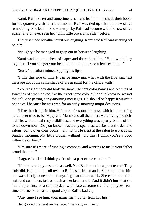Kami, Rafi's sister and sometimes assistant, let him in to check their books for his quarterly visit later that month. Rafi was tied up with the new office remodeling. She let him know how picky Rafi had become with the new office space. She'd never seen her "chill little bro's anal side" before.

That just made Jonathan burst out laughing. Kami said Rafi was rubbing off on him.

"Naughty," he managed to gasp out in-between laughing.

Kami wadded up a sheet of paper and threw it at him. "You two belong together. If you can get your head out of the gutter for a few seconds—"

"Sure." Jonathan mimed zipping his lips.

"I like this side of him. It can be annoying, what with the five a.m. text message about the same shade of green paint for the office walls."

"You're right they did look the same. He sent color names and pictures of swatches of what looked like the exact same color." Good to know he wasn't the only one getting early-morning messages. He should be happy it wasn't a phone call because he was crap for an early-morning major decisions.

"I like the change in him. He's sort of responsible now, which is something he'd never tried to be. Vijay and Marco and all the others were living the richkid life, with no real responsibilities, and everything was a party. Some of it's toned down now. Did you know he actually spent last weekend at the deli and salons, going over their books—all night? He slept at the salon to *work* again Sunday morning. My little brother willingly did this! I think you're a good influence on him."

"I'm sure it's more of running a company and wanting to make your father proud than me."

"I agree, but I still think you're also a part of the equation."

"If I take credit, you should as well. You Balians make a great team." They truly did. Kami didn't roll over to Rafi's subtle demands. She stood up to him and was deadly honest about anything that didn't work. She cared about the staff and customers just as much as her brother did. And it didn't hurt that she had the patience of a saint to deal with irate customers and employees from time to time. She was the good cop to Rafi's bad cop.

"Any time I see him, your name isn't too far from his lips."

He ignored the heat on his face. "He's a great friend."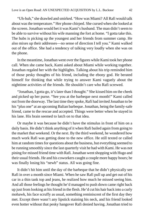"Uh-huh," she drawled and smirked. "How was Miami? All Rafi would talk about was the temperature." Her phone chirped. She cursed when she looked at the screen. Jonathan would bet it was Kami's husband. The man didn't seem to be able to survive without his wife manning the fort at home. "I gotta take this. The hubs is picking up the youngest and her friends from summer camp. He also mixes up their addresses—no sense of direction I tell you." Kami walked out of the office. She had a tendency of talking very loudly when she was on the phone.

In the meantime, Jonathan went over the figures while Kami took her phone call. When she came back, Kami asked about Miami while working together. Jonathan regaled her with the highlights. Talking about his trip reminded him of those pesky thoughts of his friend, including the ebony god. He berated himself for thinking that while trying to answer Kami vaguely about the nighttime activities of the friends. He shouldn't care who Rafi screwed.

"Jonathan, I gotta go, it's later than I thought." She kissed him on the cheek and picked up her purse. "See you at the barbeque next month!" Kami called out from the doorway. The last time they spoke, Rafi had invited Jonathan to be his "plus one" at an upcoming Balian barbeque. Jonathan, being the family-safe friend, came to the rescue and accepted. Things were better when he stayed in his lane. His brain seemed to latch on to that idea.

Or maybe it was because he didn't have the stimulus in front of him on a daily basis. He didn't think anything of it when Rafi bailed again from going to the market that weekend. Or the next. By the third weekend, he wondered how much work Rafi was getting done to the new office. He still texted or called him at random times for questions about the business, but everything seemed to be running smoothly since the last quarterly visit he had with Kami. He was not pining for missed friend time with Rafi. Jonathan went shopping with Hugo and their usual friends. He and his coworkers caught a couple more happy hours; he was finally losing his "newb" status. All was going fine.

It didn't hit him until the day of the barbeque that he didn't physically see Rafi in over a month since Miami. When he saw Rafi pull up and get out of his car in a thin tank top and jeans, he realized how much he missed seeing him. And all those feelings he thought he'd managed to push down came right back up just from looking at his friend in the flesh. He'd cut his hair back into a curly mohawk, his face scruffy as usual, something reminiscent of the first day they met. Except there wasn't any lipstick staining his neck, and his friend looked even hotter without that pesky hangover Rafi denied having. Jonathan tried to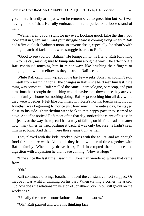give him a friendly arm pat when he remembered to greet him but Rafi was having none of that. He fully embraced him and pulled on a loose strand of hair.

"Weller, aren't you a sight for my eyes. Looking good. Like the shirt, you look great in green, man. And your struggle beard is coming along nicely." Rafi had a five o'clock shadow at noon, so anyone else's, especially Jonathan's with his light patch of facial hair, were struggle beards to Rafi.

"Good to see you too, Balian." He bumped into his friend, Rafi following him to his car, making sure to bump into him along the way. The affectionate Rafi continued touching him in minor ways like brushing their fingers or nudging him with an elbow as they drove in Rafi's car.

While Rafi caught him up about the last few weeks, Jonathan couldn't stop himself from searching for all the changes in Rafi since he'd seen him last. One thing was constant—Rafi smelled the same—part cologne, part soap, and part him. Jonathan thought the touching would maybe tone down once they arrived at his family's home but nothing doing. Rafi kept touching him all day while they were together. It felt like old times, with Rafi's normal touchy self, though Jonathan was beginning to notice just how much. The entire day, he stayed close to his side. Their rhythm went back to that happy pace they seemed to have. And if he noticed Rafi more often that day, noticed the curve of his ass in his jeans, or the way the top curl had a way of falling on his forehead no matter how many times he tried pushing it back, it was only because he hadn't seen him in so long. And damn, were those jeans tight as hell!

They played with the kids, cracked jokes with the adults, and ate enough food for an entire week. All in all, they had a wonderful time together with Rafi's family. When they drove back, Rafi interrupted their silence and digestion with a question he didn't see coming. "How is Hugo?"

"Fine since the last time I saw him." Jonathan wondered where that came from.

"Oh."

Rafi continued driving. Jonathan noticed the constant contact stopped. Or maybe it was wishful thinking on his part. When turning a corner, he asked, "So how does the relationship version of Jonathan work? You still go out on the weekends?"

"Usually the same as nonrelationship Jonathan works."

"Oh." Rafi paused and wore his thinking face.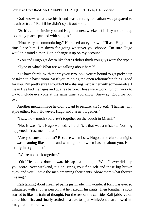God knows what else his friend was thinking. Jonathan was prepared to "truth or truth" Rafi if he didn't spit it out soon.

"So it's cool to invite you and Hugo out next weekend? I'll try not to hit up too many places packed with singles."

"How very accommodating." He raised an eyebrow. "I'll ask Hugo next time I see him. I'm down for going wherever you choose. I'm sure Hugo wouldn't mind either. Don't change it up on my account."

"You and Hugo get down like that? I didn't think you guys were the type."

"Type of what? What are we talking about here?"

"To have thirds. With the way you two look, you're bound to get picked up or taken to a back room. So if you're doing the open relationship thing, good for you. I'm pretty sure I wouldn't like sharing my partner with someone else. I mean I've had ménages and quatres before. Those were work, fun but work to try to include everyone at the same time, you know? Anyway, good for you two."

Another mental image he didn't want to picture. *Just great.* "That isn't my style either, Rafi. However, Hugo and I aren't together."

"I saw how much you *aren't* together on the couch in Miami."

"No. It wasn't… Hugo wanted… I didn't… that was a mistake. Nothing happened. Trust me on that."

"Are you sure about that? Because when I saw Hugo at the club that night, he was beaming like a thousand watt lightbulb when I asked about you. He's totally into you, bro."

"We're not back together."

"Oh." He looked down toward his lap at a stoplight. "Well, I never did help you score. Next weekend, it's on. Bring your fine self and those big brown eyes, and you'll have the men creaming their pants. Show them what they're missing."

Rafi talking about creamed pants just made him wonder if Rafi was ever so infatuated with another person that he jizzed in his pants. Then Jonathan's cock started to like his train of thought. For the rest of the car ride, Rafi jabbered on about his office and finally settled on a date to open while Jonathan allowed his imagination to run wild.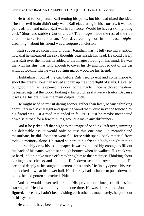He tried to not picture Rafi tenting his pants, but his head nixed the idea. Then his evil brain didn't only want Rafi ejaculating in his trousers, it wanted pants off too, and naked Rafi was in full force. Would he have a skinny, long cock? Short and stubby? Cut or uncut? The images made the rest of the ride uncomfortable for Jonathan. Not daydreaming—or in his case, *night*dreaming—about his friend was a forgone conclusion.

Rafi suggested something or other; Jonathan wasn't fully paying attention now that he unleashed the sexy thoughts beast inside his head. He could barely hear Rafi over the moans he added to the images floating in his mind. He was thankful his shirt was long enough to cover his fly and hopped out of the car without looking like he was sporting major wood for his friend.

Hightailing it out of the car, before Rafi tried to exit and come inside to shoot the breeze, Jonathan waved and ran up the short flight of stairs. He called out good night, as he opened the door, going inside. Once he closed the door, he leaned against the wood, looking at his crotch as if it were a traitor. Because it was. Or his brain was the main culprit. Fuck.

He might need to revisit dating sooner, rather than later, because thinking about Rafi in a sexual light and sporting wood that would never be touched by his friend was just a road that ended in failure. But if he maybe meandered down said road for a few minutes, would it make any difference?

And if he jerked off that night to the image of bending Rafi over, rimming his delectable ass, it would only be just this one time. So meander and masturbate, he did. Jonathan went full force with spank-bank material from today's memory alone. He stared so hard at his friend's body tonight that he could probably draw his ass on paper. It was round and big enough to fill out the back of his pants, with just enough bounce when he walked. His cock was so hard, it didn't take much effort to bring him to the precipice. Thinking about parting those cheeks and tonguing Rafi down sent him over the edge. He breathed deeply as he caught his semen in his hands. He finally opened his eyes and looked down at his lower half. He'd barely had a chance to push down his pants, he had gotten so excited. Pitiful.

And he would never tell a soul. His private one-time jerk-off session starring his friend would only be the one time. He was determined. Jonathan figured, since they hadn't been visiting each other as much lately, he got it out of his system.

He couldn't have been more wrong.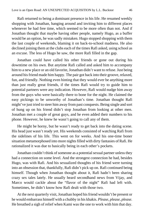Rafi returned to being a dominant presence in his life. He resumed weekly shopping with Jonathan, hanging around and inviting him to different places whenever he had free time, which seemed to be more often than not. And if Jonathan thought that maybe having other people, namely Hugo, as a buffer would be an option, he was sadly mistaken. Hugo stopped shopping with them the last couple of weekends, blaming it on back-to-school madness. He also declined joining them at the clubs each of the times Rafi asked, using school as an excuse. The less of Hugo he saw, the more Rafi filled in the gap.

Jonathan could have called his other friends or gone out during his downtime on his own. But anytime Rafi called and asked him to accompany him to a new place or an old favorite, Jonathan didn't want to refuse. Just being around his friend made him happy. The pair got back into their groove, relaxed, fun, and friendly. Nothing even hinting that they would ever be anything more than just really great friends, if the times Rafi would try to guide him to potential partners were any indication. However, Rafi would nudge him away from the guys who were basically there to bone for the night. He claimed the easy pickings to be unworthy of Jonathan's time. Jonathan thought Rafi might've just tried to steer him away from past conquests. Being single and sort of hung up on his friend didn't stop Jonathan from looking at other men. Jonathan met a couple of great guys, and he even added their numbers to his phone. However, he knew he wasn't going to call any of them.

He might be horny, but he wasn't ready to get back into the dating scene. His head just wasn't ready yet. His weekends consisted of watching Rafi from the sidelines of his life. This went on for weeks. And his one-time boner situation metamorphosed into more nights filled with dirty fantasies of Rafi. He rationalized it was due to basically being in each other's pockets.

Jonathan couldn't think of someone as a potential sexual partner unless they had a connection on some level. And the strongest connection he had, besides Hugo, was with Rafi. And his sexualized thoughts of his friend were turning into an obsession that, thankfully, Rafi didn't pick up on. Rafi continued being himself. Though when Jonathan thought about it, Rafi hadn't been sharing crazy sex tales lately. He usually heard secondhand news from Vijay, and Marco would cackle about the "flavor of the night" Rafi had left with. Sometimes, he didn't know how Rafi dealt with those two.

At the next quarterly visit, Jonathan hoped his friend wouldn't be present or he would embarrass himself with a chubby in his khakis. *Please, please, please.* He breathed a sigh of relief when Kami was the one to work with him that day.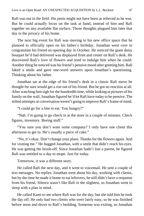Rafi was out in the field. His penis might not have been as relieved as he was. But he could actually focus on the task at hand, instead of him and Rafi together on any available flat surface. Those thoughts plagued him later that day in the privacy of his home.

The next big event for Rafi was moving to his new office space that he planned to officially open on his father's birthday. Jonathan went over to congratulate his friend on opening day in October. He noticed the giant daisy bouquet he'd had delivered was displayed front and center on Rafi's desk. He discovered Rafi's love of flowers and tried to indulge him when he could. Another thing he noticed was his friend's pensive mood after greeting him. Rafi faked a smile and gave one-word answers upon Jonathan's questioning. Thinking about his father.

Jonathan sat at the edge of his friend's desk in a classic Rafi move he thought for sure would get a rise out of his friend. But he got no reaction at all. After watching him sigh for the hundredth time, while looking at pictures of his family on the wall, Jonathan figured he'd let Rafi have today to be pensive. The stilted attempts at conversation weren't going to improve Rafi's frame of mind.

"I could go for a bite to eat. You hungry?"

"Nah. I'm going to go check in at the store in a couple of minutes. Check figures, inventory. Boring stuff."

"You sure you don't want some company? I only have one client this afternoon to get to. He's usually a piece of cake."

"No, it's okay. Don't change your plans. Thanks for the flowers again. And for visiting me." He hugged Jonathan, with a smile that didn't reach his eyes. He was getting the brush-off. Since Jonathan hadn't lost a parent, he figured Rafi was entitled to a day to mope. Just for today.

Tomorrow, it was a different story.

He called Rafi the next day, and it went to voicemail. He sent a couple of text messages. No replies. Jonathan went about his day, working with clients, but by the time he made it home to eat leftovers, he still didn't have a response from his friend. Silence wasn't like Rafi in the slightest, so Jonathan went to sleep with a plan in mind.

He called Kami to see where Rafi was for the day, but she told him he took the day off. He only had two clients who were fairly easy, so he was finished before noon and drove to Rafi's building. Someone was exiting, so Jonathan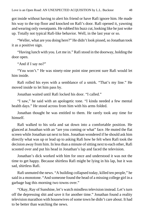got inside without having to alert his friend or have Rafi ignore him. He made his way to the top floor and knocked on Rafi's door. Rafi opened it, yawning and wearing only sweatpants. He rubbed his buzz cut, looking like he just woke up. Totally not typical Rafi-like behavior. Well, in the last year or so.

"Weller, what are you doing here?" He didn't look pissed, so Jonathan took it as a positive sign.

"Having lunch with you. Let me in." Rafi stood in the doorway, holding the door open.

"And if I say no?"

"You won't." He was ninety-nine point nine percent sure Rafi would let him inside.

Rafi rolled his eyes with a semblance of a smirk. "That's my line." He moved inside to let him pass by.

Jonathan waited until Rafi locked his door. "I called."

"I saw," he said with an apologetic tone. "I kinda needed a few mental health days." He stood across from him with his arms folded.

Jonathan thought he was entitled to them. He rarely took any time for himself.

Rafi walked to his sofa and sat down into a comfortable position. He glanced at Jonathan with an "are you coming or what" face. He muted the flat screen while Jonathan sat next to him. Jonathan wondered if he should ask him directly what was up or lead up to asking Rafi how he felt when Rafi took the decision away from him. In less than a minute of sitting next to each other, Rafi scooted over and put his head in Jonathan's lap and faced the television.

Jonathan's dick worked with him for once and understood it was not the time to get happy. Because shirtless Rafi might be lying in his lap, but it was sad, shirtless Rafi.

Rafi unmuted the news. "A building collapsed today, killed ten people," he said in a monotone. "And someone found the head of a missing college girl in a garbage bag this morning two towns over."

"Okay, Ray of Sunshine, let's watch mindless television instead. Let's turn off the depressing shit and save it for another time." Jonathan found a reality television marathon with housewives of some town he didn't care about. It had to be better than watching the news.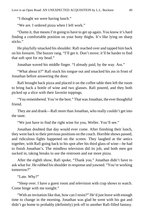"I thought we were having lunch."

"We are. I ordered pizza when I left work."

"Damn it, that means I'm going to have to get up again. You know it's hard finding a comfortable position on your bony thighs. It's like lying on sharp sticks."

He playfully smacked his shoulder. Rafi reached over and tapped him back on his forearm. The buzzer rang. "I'll get it. Don't move; it'll be harder to find that soft spot for my head."

Jonathan waved his middle finger. "I already paid, by the way. Ass."

"What about it?" Rafi stuck his tongue out and smacked his ass in front of Jonathan before answering the door.

Rafi brought back pizza and placed it on the coffee table then left the room to bring back a bottle of wine and two glasses. Rafi poured, and they both picked up a slice with their favorite toppings.

"You remembered. You're the best." That was Jonathan, the ever thoughtful friend.

They ate and drank—Rafi more than Jonathan, who really couldn't get into the taste.

"We just have to find the right wine for you, Weller. You'll see."

Jonathan doubted that day would ever come. After finishing their lunch, they went back to their previous positions on the couch. Horrible shows passed, and ridiculous fights happened on the screen. They laughed at the antics together, with Rafi going back to his spot after his third glass of wine—he had to finish Jonathan's. The mindless television did its job, and both men got sucked in, taking breaks to use the restroom and eat more pizza.

After the eighth show, Rafi spoke, "Thank you." Jonathan didn't have to ask what for. He rubbed his shoulder in response and yawned. "You're working tomorrow?"

"Late. Why?"

"Sleep over. I have a guest room and television with crap shows to watch. Come binge with me tonight."

"With an invitation like that, how can I resist?" He'd just leave with enough time to change in the morning. Jonathan was glad he went with his gut and didn't go home to probably (definitely) jerk off to another Rafi-filled fantasy.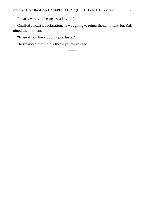"That's why you're my best friend."

Chuffed at Rafi's declaration, he was going to return the sentiment, but Rafi ruined the moment.

"Even if you have poor liquor taste."

He smacked him with a throw pillow instead.

\*\*\*\*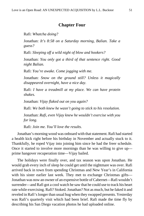## **Chapter Four**

Rafi: *Whatcha doing?*

Jonathan: *It's 8:58 on a Saturday morning, Balian. Take a guess?*

Rafi: *Sleeping off a wild night of blow and hookers?*

Jonathan: *You only got a third of that sentence right. Good night Balian.*

Rafi: *You're awake. Come jogging with me.*

Jonathan: *Snow on the ground still? Unless it magically disappeared overnight, have a nice day.*

Rafi: *I have a treadmill at my place. We can have protein shakes.*

Jonathan: *Vijay flaked out on you again?*

Rafi: *We both knew he wasn't going to stick to his resolution.*

Jonathan: *Rafi, even Vijay knew he wouldn't exercise with you for long.*

Rafi: *Join me. You'll love the results.*

Jonathan's morning wood was onboard with that statement. Rafi had started a health kick right before his birthday in November and actually stuck to it. Thankfully, he roped Vijay into joining him since he had the freer schedule. Once it started to involve more mornings than he was willing to give up prime hangover recuperation time—Vijay bailed.

The holidays were finally over, and tax season was upon Jonathan. He would grab every inch of sleep he could get until the nightmare was over. Rafi arrived back in town from spending Christmas and New Year's in California with his sister earlier last week. They met to exchange Christmas gifts— Jonathan was now an owner of an expensive bottle of Cabernet—Rafi wouldn't surrender—and Rafi got a cool watch he saw that he could use to track his heart rate while exercising. Rafi? Stoked. Jonathan? Not as much, but he faked it and reveled in Rafi's longer than usual hug when they swapped presents. Yesterday was Rafi's quarterly visit which had been brief. Rafi made the time fly by describing his San Diego vacation photos he had uploaded online.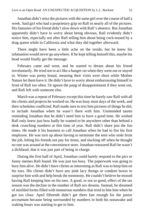Jonathan didn't miss the pictures with the same girl over the course of half a week. Said girl who had a proprietary grip on Rafi in nearly all of the pictures. His fantasies of his friend didn't slow down with Rafi's absence. But Jonathan apparently didn't have to worry about being obvious, Rafi evidently didn't notice him, especially not after Rafi telling him about being cock-teased by a drag queen while in California and what they did together afterward.

There might have been a little ache on the inside, but he knew his infatuation would never go anywhere. If he kept telling himself this, maybe his head would finally get the message.

February came and went, and he started to dream about his friend involuntarily. He tried not to act like a hanger-on when they went out or stayed in. Winter was pretty brutal, meaning their visits were short while Mother Nature let them have it. He didn't have to worry about embarrassing himself in front of Rafi too often. Or ignore the pang of disappointment if they went out, and Rafi left with someone else.

March was a repeat of February except this time he barely saw Rafi with all the clients and projects he worked on. He was busy most days of the week, and their schedules conflicted. Rafi made sure to text him pictures of things he did, to include Jonathan when he wasn't there with him. Unintended taunts reminding Jonathan that he didn't need him to have a good time. He wished Rafi only knew just how badly he wanted to be anywhere other than behind a desk crunching numbers at this time of year. Rafi didn't share just the fun times. He made it his business to call Jonathan when he had to fire his first employee. He was torn up about having to terminate the teen who stole from the job, letting his friends not pay for items, and slacking off when he thought no one was around at the convenience store. Jonathan reassured Rafi he wasn't a dickhead, that it was just part of being in charge.

During the first half of April, Jonathan could barely respond to the pics or funny memes Rafi found. He was just too busy. The paperwork was going to bury him alive. He didn't have clients as interesting as Rafi was to keep him on his toes. His clients didn't have any pink lacy thongs or condom boxes to surprise him with and help break the monotony. He couldn't believe he missed having Rafi keeping him on his toes. A good, or not so good, effect of the tax season was the decline in the number of Rafi sex dreams. Instead, he dreamed of misfiled forms filled with monstrous numbers that tried to bite him when he got too close. April fifteenth didn't get there fast enough for the junior accountant because being surrounded by numbers in both his nonawake and waking hours was starting to get to him.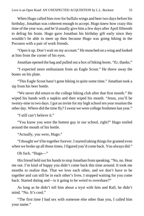When Hugo called him over for buffalo wings and beer two days before his birthday, Jonathan was coherent enough to accept. Hugo knew how crazy this time of the year was, and he'd usually give him a few days after April fifteenth to defrag his brain. Hugo gave Jonathan his birthday gift early since they wouldn't be able to meet up then because Hugo was going hiking in the Poconos with a pair of work friends.

"Open it up. Don't wait on my account." He munched on a wing and looked at him from the corner of his eyes.

Jonathan opened the bag and pulled out a box of hiking boots. "Er, thanks."

"I expected more enthusiasm from an Eagle Scout." He threw away the bones on his plate.

"This Eagle Scout hasn't gone hiking in quite some time." Jonathan took a sip from his beer bottle.

"We never did return to the college hiking club after that first month." He wiped his hands with a napkin and then wiped his mouth. "Jesus, you'll be twenty-nine in two days. I got an invite for my high school ten year reunion the other day. Where did the time fly? I swear we were college freshmen last year."

"I still can't believe it."

"You know you were the hottest guy in our school, right?" Hugo smiled around the mouth of his bottle.

"Actually, you were, Hugo."

"I thought we'd be together forever. I started taking things for granted even when we broke up all those times. I figured you'd come back. You always did."

Oh fuck. "Hugo—"

His friend held out his hands to stop Jonathan from speaking. "No, no. Hear me out. I'm kind of happy you didn't come back this time around. It took me months to realize that. That we love each other, and we don't have to be together and can still be in each other's lives. I stopped waiting for you come back. Started dating and—is it going to be weird to overshare?"

As long as he didn't tell him about a tryst with him and Rafi, he didn't mind. "No. It's cool."

"The first time I had sex with someone else other than you, I called him your name."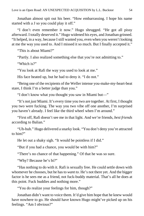Jonathan almost spit out his beer. "How embarrassing. I hope his name started with a J so you could play it off."

"I don't even remember it now." Hugo shrugged. "He got all pissy afterward. I totally deserved it." Hugo widened his eyes, and Jonathan grinned. "It helped, in a way, because I still wanted you, even when you weren't looking at me the way you used to. And I missed it so much. But I finally accepted it."

"This is about Miami?"

"Partly. I also realized something else that you're not admitting to."

"Which is?"

"You look at Rafi the way you used to look at me."

His face heated up, but he had to deny it. "I do not."

"Being one of the recipients of the Weller intense you-make-my-heart-beat stare, I think I'm a better judge than you."

"I don't know what you thought you saw in Miami but—"

"It's not *just* Miami. It's every time you two are together. At first, I thought you two were fucking. The way you two vibe off one another, I'm surprised you haven't already. I feel like the third wheel when I'm around."

"First off, Rafi doesn't see me in that light. And we're friends, *best friends*  according to Balian."

"Uh-huh." Hugo delivered a snarky look. "You don't deny you're attracted to him?"

He let out a shaky sigh. "It would be pointless if I did."

"But if you had a chance, you would be with him?"

"There's no chance of that happening." Of that he was so sure.

"Why? Because he's bi?"

"Has nothing to do with it. Rafi is sexually free. He could settle down with whomever he chooses, but he has to *want to*. He's not there yet. And the bigger factor is he sees me as a friend, not fuck-buddy material. That's all he does at this point. Fuck buddies and nothing more."

"You do realize your feelings for him, though?"

Jonathan didn't want to voice them. It'd give him hope that he knew would have nowhere to go. He should have known Hugo might've picked up on his feelings. "Am I obvious?"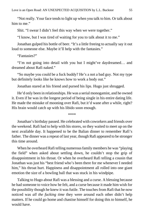"Not really. Your face tends to light up when you talk to him. Or talk about him to me."

Shit. "I swear I didn't feel this way when we were together."

"I know, but I was tired of waiting for you to talk about it to me."

Jonathan gulped his bottle of beer. "It's a little freeing to actually say it out loud to someone else. Maybe it'll help with the fantasies."

"Fantasies?"

"I'm not going into detail with you but I might've daydreamed… and dreamed about Rafi naked."

"So maybe you could be a fuck buddy? He's a not a bad guy. Not my type but definitely looks like he knows how to work a body out."

Jonathan stared at his friend and pursed his lips. Hugo just shrugged.

He'd only been in relationships. He was a serial monogamist, and he owned it. Even if he was in the longest period of being single in his entire dating life. He made the mistake of mooning over Rafi, but it'd wane after a while, right? His brain would catch up with his libido soon enough.

\*\*\*\*

Jonathan's birthday passed. He celebrated with coworkers and friends over the weekend. Rafi had to help with his stores, so they waited to meet up on the next available day. It happened to be the Balian dinner to remember Rafi's father. The dinner was a repeat of last year, though Rafi appeared to be stronger this time around.

When he overheard Rafi telling numerous family members he was "playing the field" when asked about settling down, he couldn't stop the grip of disappointment in his throat. Or when he overheard Rafi telling a cousin that Jonathan was just his "best friend who's been there for me whenever I needed him," his throat hurt. Happiness and disappointment all rolled into one giant emotion the size of a bowling ball that was stuck in his windpipe.

Talking to Hugo about Rafi was a blessing and a curse. A blessing because he had someone to voice how he felt, and a curse because it made him wish for the possibility though he knew it was futile. The touches from Rafi that he now noticed was *all the fucking time* they were around each other didn't help matters. If he could go home and chastise himself for doing this *to* himself, he would have.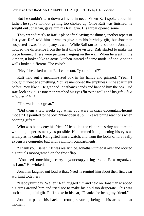But he couldn't turn down a friend in need. When Rafi spoke about his father, he spoke without getting too choked up. Once Rafi was finished, he sought out Jonathan, gave him his Rafi grin. His throat opened some.

They went directly to Rafi's place after leaving the dinner, another repeat of last year. Rafi told him it was to give him his birthday gift, but Jonathan suspected it was for company as well. While Rafi ran to his bedroom, Jonathan noticed the difference from the first time he visited. Rafi started to make his place homier. There were pictures hanging on the wall. When he went in the kitchen, it looked like an actual kitchen instead of demo model of one. And the walls looked different. The color?

"Hey," he asked when Rafi came out, "you painted?"

Rafi held out a medium-sized box in his hands and grinned. "Yeah. I thought it needed something. You've mentioned the emptiness in the apartment before. You like?" He grabbed Jonathan's hands and handed him the box. Did Rafi look anxious? Jonathan watched his eyes flit to the walls and his gift. *Ah, a mixture of both.*

"The walls look great."

"Did them a few weeks ago when you were in crazy-accountant-hermit mode." He pointed to the box. "Now open it up. I like watching reactions when opening gifts."

Who was he to deny his friend? He pulled the elaborate string and tore the wrapping paper as neatly as possible. He hammed it up, opening his eyes as widely as he could. Rafi gifted him a watch, and from the looks of it, a really expensive computer bag with a million compartments.

"Thank you, Balian." It was really nice. Jonathan turned it over and noticed his initials monogramed on the front flap.

"You need something to carry all your crap you lug around. Be as organized as I am." He winked.

Jonathan laughed out loud at that. Need he remind him about their first year working together?

"Happy birthday, Weller." Rafi hugged him and held on. Jonathan wrapped his arms around him and tried not to make his hold too desperate. This was such a thoughtful gift. Rafi spoke in his ear, "Thanks for being my friend."

Jonathan patted his back in return, savoring being in his arms in that moment.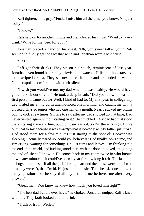Rafi tightened his grip. "Fuck, I miss him all the time, you know. Not just today."

"I know."

Rafi held on for another minute and then cleared his throat. "Want to have a drink? Wine for me, beer for you?"

Jonathan placed a hand on his chest. "Oh, you sweet talker you." Rafi seemed to finally get the fact that wine and Jonathan were a lost cause.

"Ass."

Rafi got their drinks. They sat on his couch, reminiscent of last year. Jonathan even found bad reality television to watch—D-list hip-hop stars and their scripted drama. They sat next to each other and pretended to watch. Neither spoke, comfortable with their silence.

"I wish you would've met my dad when he was healthy. He would have gotten a kick out of you." He took a deep breath. "Did you know he was the first person I came out to? Well, I kind of had to. My first year in college, my dad visited me at my dorm unannounced one morning, and caught me with a closeted phys ed junior who had one hell of a mouth. Nearly sucked my brains out my dick a few times. Suffice to say, after my dad showed up that time, Dad never visited again without calling first." He chuckled. "My dad had just stood there, staring at me and him, but didn't say a word. So I'm there trying to figure out what to say because it was *exactly* what it looked like. My father just froze. Dad stood there for a few minutes just staring at the spot ol' Hoover was sleeping. I actually teared up, could you believe it? Dad finally looks at me, and I'm crying, waiting for something. He just turns and leaves. I'm thinking it's the end of the world, and fucking stood there with the door unlocked, imagining the end of life as I know it. He comes back to my room twice in who knows how many minutes—it could've been a year for how long it felt. The last time he hugs me and asks if all the girls I brought around the house were a lie. I told him they weren't, that I'm bi. He just nods and sits. Then he asks questions, so many questions, but he stayed all day and told me he loved me after every answer."

"Great man. You know he knew how much you loved him right?"

"The best dad I could ever have," he choked. Jonathan nudged Rafi's knee with his. They both looked at their drinks.

"Truth or truth, Weller?"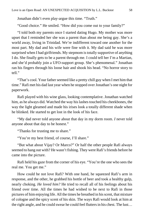Jonathan didn't even play-argue this time. "Truth."

"Good choice." He smiled. "How did you come out to your family?"

"I told both my parents once I started dating Hugo. My mother was more upset that I reminded her she was a parent than about me being gay. She's a world away, living in Trinidad. We're indifferent toward one another for the most part. My dad and his wife were fine with it. My dad said he was more surprised when I had girlfriends. My stepmom is totally supportive of anything I do. She finally gets to be a parent through me. I could tell her I'm a Martian, and she'd probably join a UFO-support group. She's phenomenal." Jonathan ran his fingers through his loose hair and shook his head. "No horror story to tell."

"That's cool. Your father seemed like a pretty chill guy when I met him that time." Rafi met his dad last year when he stopped over Jonathan's one night for paperwork.

Rafi played with his wine glass, looking contemplative. Jonathan watched him, as he always did. Watched the way his lashes touched his cheekbones, the way the light gleamed and made his irises look a totally different shade when he blinked. He started to get lost in the look of his face.

"My dad never told anyone about that day in my dorm room. *I* never told anyone about that day to be honest."

"Thanks for trusting me to share."

"You're my best friend, of course, I'll share."

"But what about Vijay? Or Marco?" Or half the other people Rafi always seemed to hang out with? He wasn't fishing. They were Rafi's friends before he came into the picture.

Rafi held his gaze from the corner of his eye. "You're the one who sees the real me. You get me."

How could he not love Rafi? With one hand, he squeezed Rafi's arm in response, and the other, he grabbed his bottle of beer and took a healthy gulp, nearly choking. *He loved him?* He tried to recall all of his feelings about his friend over time. All the times he had wished to be next to Rafi in those pictures of him enjoying life. All the times he breathed in his scent, that mixture of cologne and the spicy scent of his skin. The ways Rafi would look at him at the right angle, and he could swear he could feel flutters in his chest. The lust…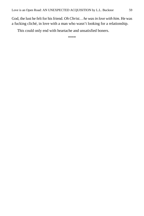God, the lust he felt for his friend. *Oh Christ… he was in love with him*. He was a fucking cliché, in love with a man who wasn't looking for a relationship.

This could only end with heartache and unsatisfied boners.

\*\*\*\*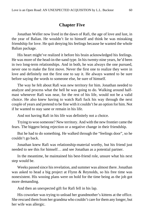## **Chapter Five**

Jonathan Weller now lived in the dawn of Rafi, the age of love and lust, in the year of Balian. He wouldn't lie to himself and think he was mistaking friendship for love. He quit denying his feelings because he wanted the whole Balian package.

His heart might've realized it before his brain acknowledged his feelings. He was more of the head-in-the-sand type. In his twenty-nine years, he'd been in two long-term relationships. And in both, he was always the one pursued, never one to make the first move. Never the first one to realize they were in love and definitely not the first one to say it. He always wanted to be sure before saying the words to someone else, be sure of himself.

The way he felt about Rafi was new territory for him. Jonathan needed to analyze and process what the hell he was going to do. Walking around halfmast whenever Rafi was near, for the rest of his life, would not be a valid choice. He also knew having to watch Rafi fuck his way through the next couple of years and pretend to be fine with it couldn't be an option for him. Not if he wanted to stay sane or remain in his life.

And not having Rafi in his life was definitely not a choice.

Trying to woo someone? New territory. And with the new frontier came the fears. The biggest being rejection or a negative change in their friendship.

But he had to do something. He walked through the "feelings door", so he couldn't go back.

Jonathan knew Rafi was relationship-material worthy, but his friend just needed to see this for himself… and see Jonathan as a potential partner.

In the meantime, he maintained his best-friend role, unsure what his next step would be.

Weeks passed since his revelation, and summer was almost there. Jonathan was asked to head a big project at Flynn & Reynolds, so his free time was nonexistent. His wooing plans were on hold for the time being as the job got more demanding.

And then an unexpected gift for Rafi fell in his lap.

His coworker was trying to unload her grandmother's kittens at the office. She rescued them from her grandma who couldn't care for them any longer, but her wife was allergic.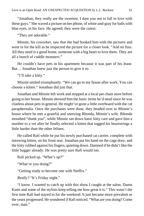"Jonathan, they really are the sweetest. I dare you not to fall in love with these guys." She waved a picture on her phone, of white-and-gray fur balls with blue eyes, in his face. He agreed; they were the cutest.

"They are adorable."

Minnie, his coworker, saw that she had hooked him with the pictures and went in for the kill as he inspected the picture for a closer look. "And no fuss. All they need is a good home, someone with a big heart to love them. They are all a bunch of cuddle monsters."

He couldn't have pets in his apartment because it was part of his lease. But… Jonathan knew just the person to give it to.

"I'll take a kitty."

Minnie smiled triumphantly. "We can go to my house after work. You can choose a kitten." Jonathan did just that.

Jonathan and Minnie left work and stopped at a local pet chain store before going to her house. Minnie showed him the basic items he'd need since he was clueless about pets in general. He might've gone a little overboard with the cat paraphernalia. Once the purchases were done, they headed over to Minnie's house where he met a grateful and sneezing Rhonda, Minnie's wife. Rhonda mouthed "thank you", while Minnie ran down basic kitty care and gave him a number to a vet after he finally selected a kitten that tugged his heartstrings a little harder than the other felines.

He called Rafi while he put his newly purchased cat carrier, complete with meowing kitten, on his front seat. Jonathan put his hand on the cage door, and the kitty rubbed against his fingers, quieting down. Damned if he didn't like the little bugger already. He was pretty sure Rafi would too.

Rafi picked up. "What's up?"

"What're you doing?"

"Getting ready to become one with Netflix."

*Really?* "It's Friday night."

"I know. I wanted to catch up with this show I caught at the salon. Damn Kami and some of the stylists keep telling me how great it is." This wasn't the first time Rafi had stayed in for the weekend. It just became more prevalent as the years progressed. He wondered if Rafi noticed. "What are you doing? Come over, man."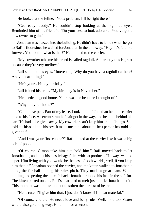He looked at the feline. "Not a problem. I'll be right there."

"Get ready, buddy." He couldn't stop looking at the big blue eyes. Reminded him of his friend's. "Do your best to look adorable. You've got a new owner to gain."

Jonathan was buzzed into the building. He didn't have to knock when he got to Rafi's floor since he waited for Jonathan in the doorway. "Hey! It's felt like forever. You look—what is that?" He pointed to the carrier.

"My coworker told me his breed is called ragdoll. Apparently this is great because they're very mellow."

Rafi squinted his eyes. "Interesting. Why do you have a ragdoll cat here? Are you cat sitting?"

"He's yours. Happy birthday."

Rafi folded his arms. "My birthday is in November."

"He needed a good home. Yours was the best one I thought of."

"Why not your home?"

"Can't have pets. Part of my lease. Look at him." Jonathan held the carrier next to his face. An errant strand of hair got in the way, and he put it behind his ear. "He had to be given away. My coworker can't keep him or his siblings. She told me his sad little history. It made me think about the best person he could be given to."

"And I was your first choice?" Rafi looked at the carrier like it was a big pile of poop.

"Of course. C'mon take him out, hold him." Rafi moved back to let Jonathan in, and took his plastic bags filled with cat products. "I always wanted a pet. Him living with you would be the best of both worlds, well, if you keep him that is." Jonathan opened the carrier, and the kitten walked to Jonathan's hand, the fur ball helping his sales pitch. They made a great team. While holding and petting the kitten's back, Jonathan rubbed his face in the soft fur. The kitten purred on cue. Rafi's heart had to melt just a little, Jonathan's did. This moment was impossible not to soften the hardest of hearts.

"He is cute. I'll give him that. I just don't know if I'm cat material."

"Of course you are. He needs love and belly rubs. Well, food too. Water would also go a long way. Hold him for a second."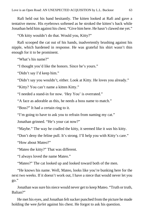Rafi held out his hand hesitantly. The kitten looked at Rafi and gave a tentative meow. His eyebrows softened as he stroked the kitten's back while Jonathan held him against his chest. "Give him here. He hasn't clawed me yet."

"Oh kitty wouldn't do that. Would you, Kitty?"

Rafi scooped the cat out of his hands, inadvertently brushing against his nipple, which hardened in response. He was grateful his shirt wasn't thin enough for it to be prominent.

"What's his name?"

"I thought you'd like the honors. Since he's yours."

"Didn't say I'd keep him."

"Didn't say you wouldn't, either. Look at Kitty. He loves you already."

"Kitty? You can't name a kitten Kitty."

"I needed a stand-in for now. 'Hey You' is overrated."

"A face as adorable as this, he needs a boss name to match."

"Boss?" It had a certain ring to it.

"I'm going to have to ask you to refrain from naming my cat."

Jonathan grinned. "He's your cat now?"

"Maybe." The way he cradled the kitty, it seemed like it *was* his kitty.

"Don't deny the feline pull. It's strong. I'll help you with Kitty's care."

"How about Mateo?"

"Mateo the kitty?" That was different.

"I always loved the name Mateo."

"Mateo?" The cat looked up and looked toward both of the men.

"He knows his name. Well, Mateo, looks like you're bunking here for the next two weeks. If it doesn't work out, I have a niece that would never let you go."

Jonathan was sure his niece would never get to keep Mateo. "Truth or truth, Balian?"

He met his eyes, and Jonathan felt sucker punched from the picture he made holding the wee *furlet* against his chest. He forgot to ask his question.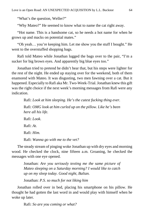"What's the question, Weller?"

"Why Mateo?" He seemed to know what to name the cat right away.

"Hot name. This is a handsome cat, so he needs a hot name for when he grows up and macks on potential mates."

"Oh yeah… you're keeping him. Let me show you the stuff I bought." He went to the overstuffed shopping bags.

Rafi told Mateo while Jonathan lugged the bags over to the pair, "I'm a sucker for big brown eyes. And apparently big blue eyes too."

Jonathan tried to pretend he didn't hear that, but his steps were lighter for the rest of the night. He ended up staying over for the weekend, both of them enamored with Mateo. It was disgusting, two men fawning over a cat. But it happened. Especially to Rafi aka Mr. Two-Week-Trial. Jonathan knew this gift was the right choice if the next week's morning messages from Rafi were any indication.

Rafi: *Look at him sleeping. He's the cutest fucking thing ever.*

Rafi: *OMG look at him curled up on the pillow. Like he's been here all his life.*

Rafi: *Look.* Rafi: *At.* Rafi: *Him.* Rafi: *Wanna go with me to the vet?*

The steady stream of pinging woke Jonathan up with dry eyes and morning wood. He checked the clock, nine fifteen a.m. Groaning, he checked the messages with one eye opened.

Jonathan: *Are you seriously texting me the same picture of Mateo sleeping on a Saturday morning? I would like to catch up on my sleep today. Good night, Balian.*

Jonathan: *P.S. so much for not liking him*

Jonathan rolled over in bed, placing his smartphone on his pillow. He thought he had gotten the last word in and would play with himself when he woke up later*.*

Rafi: *So are you coming or what?*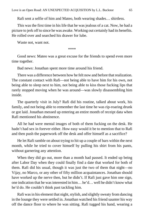Rafi sent a selfie of him and Mateo, both wearing shades… shirtless.

This was the first time in his life that he was jealous of a cat. Now, he had a picture to jerk off to since he was awake. Working out certainly had its benefits. He rolled over and searched his drawer for lube.

Waste not, want not.

\*\*\*\*

Good news: Mateo was a great excuse for the friends to spend even more time together.

Bad news: Jonathan spent more time around his friend.

There was a difference between how he felt now and before that realization. The constant contact with Rafi—not being able to have him for his own, not being able to sleep next to him, not being able to kiss those fucking lips that rarely stopped moving when he was around—was slowly disassembling him inside.

The quarterly visit in July? Rafi did his routine, talked about work, his family, and not being able to remember the last time he was rip-roaring drunk or got laid. Jonathan messed up entering an entire month of receipt data when Rafi mentioned his abstinence.

All he had were mental images of both of them fucking on the desk. He hadn't had sex in forever either. How easy would it be to mention that to Rafi and then push the paperwork off the desk and offer himself as a sacrifice?

He let Rafi ramble on about trying to hit up a couple of bars within the next month, while he tried to cover himself by pulling his shirt from his pants, without garnering any attention.

When they did go out, more than a month had passed. It ended up being after Labor Day when they could finally find a date that worked for both of them. Rafi did his usual, though it was just the two of them that night—no Vijay, no Marco, or any other of fifty million acquaintances. Jonathan should have worked up the nerve then, but he didn't. If Rafi just gave him one sign, one indication that he was interested in him… he'd… well he didn't know what he'd do. He couldn't think past tackling him.

Rafi was in his element that night, stylish, and slightly sweaty from dancing in the lounge they were settled in. Jonathan watched his friend saunter his way off the dance floor to where he was sitting. Rafi tugged his hand, wearing a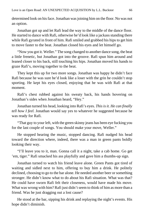determined look on his face. Jonathan was joining him on the floor. No was not an option.

Jonathan got up and let Rafi lead the way to the middle of the dance floor. He started to dance with Rafi, otherwise he'd look like a jackass standing there while Rafi gyrated in front of him. Rafi smiled and grabbed his hips to get him to move faster to the beat. Jonathan closed his eyes and let himself go.

"Now you got it. Weller." The song changed to another dance song, the beat a little frenetic, but Jonathan got into the groove. Rafi spun him around and leaned closer to his back, still touching his hips. Jonathan moved his hands to graze Rafi's, moving together to the beat.

They kept this up for two more songs. Jonathan was happy he didn't face Rafi because he was sure he'd look like a loser with the grin he couldn't stop sporting. He kept his eyes closed, enjoying that he was with Rafi at that moment.

Rafi's chest rubbed against his sweaty back, his hands hovering on Jonathan's sides when Jonathan heard, "Hey."

Jonathan turned his head, looking into Rafi's eyes. *This is it. He can finally tell how I feel.* Jonathan would say yes to whatever he suggested because he was ready for Rafi.

"That guy to your left, with the green skinny jeans has been eye fucking you for the last couple of songs. You should make your move, Weller."

He stopped hearing the music, stopped dancing. Rafi nudged his head toward the direction where, indeed, there was a man in green pants boldly looking their way.

"I'll leave you to it, man. Gonna call it a night, take a cab home. Go get 'em, tiger." Rafi smacked his ass playfully and gave him a thumbs-up sign.

Jonathan turned to watch his friend leave alone. Green Pants got tired of waiting and sidled next to him, offering to buy him a drink. He politely declined, choosing to go to the bar alone. He needed another beer or something stronger. He didn't know what to do about his Rafi situation. What was that? He could have sworn Rafi felt their closeness, would have made his move. What was wrong with him? Rafi just didn't seem to think of him as more than a friend. Was he just dragging out a lost cause?

He stood at the bar, sipping his drink and replaying the night's events. His hope didn't diminish.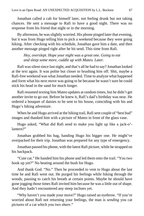Jonathan called a cab for himself later, not feeling drunk but not taking chances. He sent a message to Rafi to have a good night. There was no response from his friend that night or in the morning.

By afternoon, he was slightly worried. His phone pinged later that evening, but it was from Hugo telling him to pick a weekend because they were going hiking. After checking with his schedule, Jonathan gave him a date, and then another message pinged right after he hit send. This time from Rafi.

*Hey, overslept. Hope your night was a great one. Going to eat and sleep some more, cuddle up with Mateo. Later.*

Rafi was silent since last night, and that's all he had to say? Jonathan looked at the text again. It was polite but closer to brushing him off. Shit, maybe a Rafi-free weekend was what Jonathan needed. Time to analyze what happened and form what his next move was going to be because he wasn't sure he could stick his head in the sand for much longer.

Rafi resumed texting him Mateo updates at random times, but he didn't get another invite to go out. Before he knew it, Rafi's dad's birthday was near. He ordered a bouquet of daisies to be sent to his house, coinciding with his and Hugo's hiking adventure.

When he and Hugo arrived at the hiking trail, Rafi sent couple of "best bud" images and thanked him with a picture of Mateo in front of the glass vase.

Hugo asked, "What did Rafi send to make you light up like a jack-o' lantern?"

Jonathan grabbed his bag, handing Hugo his bigger one. He might've overpacked for their trip. Jonathan was prepared for any type of emergency.

Jonathan passed his phone, with the latest Rafi picture, while he strapped on his backpack.

"Cute cat." He handed him his phone and led them onto the trail. "You two hook up yet?" No beating around the bush for Hugo.

And thank God. "No." Then he proceeded to vent to Hugo about the last time he and Rafi went out. He purged his feelings while hiking through the woods, pausing to catch his breath at certain points. Maybe he should have gone jogging those times Rafi invited him because he was a little out of shape. And they hadn't encountered any steep inclines yet.

"Why haven't you made your move?" Hugo raised an eyebrow. "If you're worried about Rafi not returning your feelings, the man is *sending* you cat pictures of a cat which you two *share*."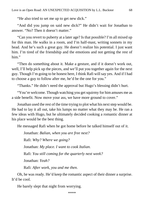"He also tried to set me up to get new dick."

"And did you jump on said new dick?" He didn't wait for Jonathan to answer. "No? Then it doesn't matter."

"Can you revert to puberty at a later age? Is that possible? I'm all mixed up for this man. He walks in a room, and I'm half-mast, writing sonnets in my head. And he's such a great guy. He doesn't realize his potential. I just want him. I'm tired of the friendship and the emotions and not getting the rest of him."

"Then do something about it. Make a gesture, and if it doesn't work out, well, I'll help pick up the pieces, and we'll put you together again for the next guy. Though I'm going to be honest here, I think Rafi will say yes. And if I had to choose a guy to follow after me, he'd be the one for you."

"Thanks." He didn't need the approval but Hugo's blessing didn't hurt.

"You're welcome. Though watching you get squirmy for him amuses me as a side benefit. Now move your ass, we have more ground to cover."

Jonathan used the rest of the time trying to plot what his next step would be. He had to lay it all out, take his lumps no matter what they may be. He ran a few ideas with Hugo, but he ultimately decided cooking a romantic dinner at his place would be the best thing.

He messaged Rafi when he got home before he talked himself out of it.

Jonathan: *Balian, when you are free next?* Rafi: *Why? Where we going?* Jonathan: *My place. I want to cook Italian.* Rafi: *You still coming for the quarterly next week?* Jonathan: *Yeah?*

Rafi: *After work, you and me then.*

Oh, he was ready. He'd keep the romantic aspect of their dinner a surprise. It'd be cool.

He barely slept that night from worrying.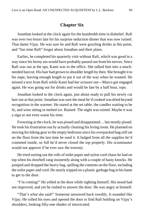## **Chapter Six**

Jonathan looked at the clock again for the hundredth time in disbelief. Rafi was over two hours late for his surprise seduction dinner that was now ruined. That damn Vijay. He was sure he and Rafi were guzzling drinks at this point, and "fun time Rafi" forgot about Jonathan and their plans.

Earlier, he completed his quarterly visit without Rafi, which was good in a way since his horny ass would have probably passed out from his nerves. Since Rafi was out at the spa, Kami was in the office. She talked him into a muchneeded haircut. His hair had grown to shoulder length by then. She brought it to his nape, leaving enough length to put it out of the way when he wanted. He missed a text from Rafi while Kami had her scissors out—Marco got engaged again. He was going out for drinks and would be late by a half hour, tops.

Jonathan looked to the clock again, just about ready to pull his newly cut hair out at that point. Jonathan was sure the meal he'd cooked was dried beyond recognition in the warmer. He stared at the set table, the candles waiting to be lit, and wine sitting in melted ice. Ruined. The night was ruined. Maybe it was a sign to not even waste his time.

Frowning at the clock, he was pissed and disappointed… but mostly pissed. He took his frustration out by actually cleaning his living room. He planned on moving his hiking gear to the empty bedroom since his overpacked bag still sat on the floor from the last time he used it. It bulged from all the supplies he'd crammed inside, so full he'd never closed the top properly. His scoutmaster would not approve if he ever saw the travesty.

He tried sorting out the rolls of toilet paper and nylon cord chaos he had on top when his doorbell rang insistently along with a couple of hasty knocks. He jumped and dropped the heavy bag, spilling the contents on the floor, including the toilet paper and cord. He nearly tripped on a plastic garbage bag in his haste to get to the door.

"I'm coming!" He yelled at the door while righting himself. His mood had not improved, and yet he rushed to answer the door. He was angry at himself.

"That's what she said!" Someone answered back rowdily. It sounded like Vijay. He rolled his eyes and opened the door to find Rafi holding on Vijay's shoulders, looking fifty-one shades of intoxicated.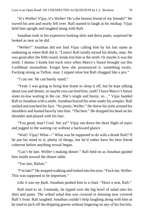"It's Weller! Vijay, it's Weller! He's the bestest friend of my friends!" He waved his arm and nearly fell over. Rafi started to laugh at his mishap. Vijay held him upright and laughed along with Rafi.

Jonathan took in his expensive-looking shirt and dress pants, surprised he looked as neat as he did.

"Weller!" Jonathan did not find Vijay calling him by his last name as endearing as when Rafi did it. "Listen! Rafi totally mixed his drinks, man. He was good after the fifth round, kinda lost him at the tenth. Or maybe it was the ninth. I dunno. I kinda lost track once when Marco's fiancé brought out this Caribbean moonshine. Forgot how she pronounced it, something exotic. Fucking strong as Teflon, man. I sipped mine but Rafi chugged like a pro."

"I can see. He can barely stand."

"Yeah. I was going to bring him home to sleep it off, but he kept talking about you and dinner, so maybe you can feed him, yeah? I have Marco's future sister-in-law waiting in the car. She's single and horny, so…" Vijay handed Rafi to Jonathan with a smile. Jonathan braced his arms under his armpits. Rafi smiled and touched his face. "So pretty, Weller." He threw his arms around his shoulders and leaned heavily into him. "The best." He dropped his head on his shoulder and played with his hair.

"You good, man? Cool. See ya!" Vijay ran down the short flight of stairs and jogged to the waiting car without a backward glance.

"Wait! Vijay! What—" What was he supposed to do with a drunk Rafi? If he put his mind to it, plenty of things, but he'd rather have his best friend coherent before anything sexual began.

"Can't be late. Weller's making dinner." Rafi held on as Jonathan guided him inside toward the dinner table.

"Too late, Balian."

"I'm late?" He stopped walking and looked into his eyes. "Fuck me, Weller. This was supposed to be important."

*Like it was my fault.* Jonathan pushed him to a chair. "Have a seat, Rafi."

Rafi tried to sit. Unsteady, he tipped over the big bowl of salad onto his shirt and pants. The wilted salad that was covered in dressing now covered Rafi's front. Rafi laughed. Jonathan couldn't help laughing along with him as he tried to pick off the dripping greens without lingering on any of his fun bits.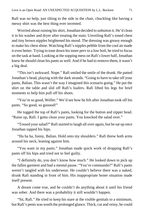Rafi was no help, just tilting to the side in the chair, chuckling like having a messy shirt was the best thing ever invented.

Worried about ruining his shirt, Jonathan decided to unbutton it. He'd clean it in his washer and dryer after treating the stain. Unveiling Rafi's toned chest and tiny brown nipples brightened his mood. The dressing was greasy enough to make his chest shine. Watching Rafi's nipples pebble from the cool air made it even better. Trying to tone down his inner perv to a low boil, he tried to focus on the task at hand. Looking at the sopping mess on Rafi's lower half, Jonathan knew he should clean his pants as well. And if he had to remove them, it wasn't a big deal.

"This isn't awkward. Nope." Rafi smiled the smile of the drunk. He patted Jonathan's head, playing with the dark strands. "Going to have to take off your pants, Balian. This wasn't the way I imagined this scenario going." He put the shirt on the table and slid off Rafi's loafers. Rafi lifted his legs for brief moments to help him pull off his shoes.

"You're so good, Weller." We'd see how he felt after Jonathan took off his pants. "So good, so gooood!"

He tugged the top of Rafi's pants, looking for the button and zipper head. "Raise up, Rafi. I gotta clean your pants. You knocked the salad over."

"Tossed your salad?" Rafi started to laugh all over again, but he sat up once Jonathan tapped his hips.

"Ha ha ha, funny, Balian. Hold onto my shoulders." Rafi threw both arms around his neck, leaning against him.

"You want in my pants." Jonathan made quick work of dropping Rafi's pants off his hips and tried not to feel guilty.

"I definitely do, you don't know how much." He looked down to pick up the fallen garment and had a mental pause. "You're commando?" Rafi's pants weren't tangled with his underwear. He couldn't believe there was a naked, drunk Rafi standing in front of him. His inappropriate boner situation made itself present.

A dream come true, and he couldn't do anything about it until his friend was sober. And there was a probability it still wouldn't happen.

"Sit, Rafi." He tried to keep his stare at the visible genitals to a minimum, but Rafi's penis was worth the prolonged glance. Thick, cut and veiny, he could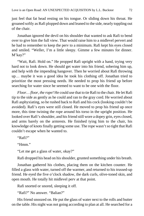just feel that fat head resting on his tongue. Or sliding down his throat. He groaned softly as Rafi plopped down and leaned to the side, nearly toppling out of the chair.

Jonathan ignored the devil on his shoulder that wanted to ask Rafi to bend over to give him the full view. That would raise him to a midlevel pervert and he had to remember to keep the perv to a minimum. Rafi kept his eyes closed and smiled. "Weller, I'm a little sleepy. Gimme a few minutes for dinner. M'kay?"

"Wait, Rafi. Hold on." He propped Rafi upright with a hand, trying very hard not to look down. He should get water into his friend, sobering him up, and help with the impending hangover. Then he worried about Rafi throwing up… maybe it was a good idea he took his clothing off. Jonathan tried to prioritize the most pressing needs. He needed to prop his friend up before searching for water since he seemed to want to be one with the floor.

*Floor… floor, the rope!* He could use that to tie Rafi to the chair. He let Rafi tip to the side as gently as he could and ran to the gray cord. He worried about Rafi asphyxiating, so he rushed back to Rafi and his cock (looking couldn't be avoided). Rafi's eyes were still closed. He moved to prop his friend up once more, this time twining the rope around his torso in the upright position. He looked over Rafi's shoulder, and his friend still wore a dopey grin, eyes closed, and arms barely on the armrests. He finished tying him to the chair, his knowledge of knots finally getting some use. The rope wasn't so tight that Rafi couldn't escape when he wanted to.

"Rafi?"

"Hmm."

"Let me get a glass of water, okay?"

Rafi dropped his head on his shoulder, grunted something under his breath.

Jonathan gathered his clothes, placing them on the kitchen counter. He filled a glass with water, turned off the warmer, and returned to his trussed-up friend. He eyed the five o'clock shadow, the dark curls, olive-toned skin, and open mouth. He totally hit midlevel perv at that point.

Rafi snorted or snored, sleeping it off.

"Rafi?" No answer. "Balian?"

His friend snoozed on. He put the glass of water next to the rolls and butter on the table. His night was not going according to plan at all. He searched for a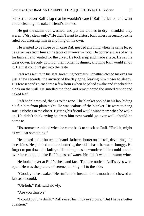blanket to cover Rafi's lap that he wouldn't care if Rafi hurled on and went about cleaning his naked friend's clothes.

He got the stains out, washed, and put the clothes to dry—thankful they weren't "dry clean only." He didn't want to disturb Rafi unless necessary, so he ruled out dressing him in anything of his own.

He wanted to be close by in case Rafi needed anything when he came to, so he sat across from him at the table of lukewarm food. He poured a glass of wine for himself and waited for the dryer. He took a sip and made a face. He set the glass down. He only got it for their romantic dinner, knowing Rafi would enjoy it. He just couldn't get into the taste.

Rafi was secure in his seat, breathing normally. Jonathan closed his eyes for just a few seconds, the anxiety of the day gone, leaving him closer to sleepy. His few seconds turned into a few hours when he jolted awake and checked the clock on the wall. He smelled the food and remembered the ruined dinner and naked Rafi.

Rafi hadn't moved, thanks to the rope. The blanket pooled in his lap, hiding his fun bits from plain sight. He was jealous of the blanket. He went to hang Rafi's clothes in the closet, figuring his friend would want them when he woke up. He didn't think trying to dress him now would go over well, should he come to.

His stomach rumbled when he came back to check on Rafi. "Fuck it, might as well eat something."

He picked up the butter knife and slathered butter on the roll, devouring it in three bites. He grabbed another, buttering the roll in haste he was so hungry. He forgot to put down the knife, still holding it as he wondered if he could stretch over far enough to take Rafi's glass of water. He didn't want the warm wine.

He looked over at Rafi's chest and face. Then he noticed Rafi's eyes were open. He was the picture of serene, looking off to the side.

"Good, you're awake." He stuffed the bread into his mouth and chewed as fast as he could.

"Uh-huh," Rafi said slowly.

"Are you thirsty?"

"I could go for a drink." Rafi raised his thick eyebrows. "But I have a better question."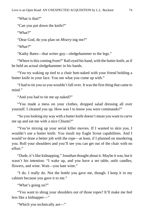"What is that?"

"Can you put down the knife?"

"What?"

"Dear God, do you plan on *Misery*-ing me?"

"*What?*"

"Kathy Bates—that writer guy—sledgehammer to the legs."

"Where is this coming from?" Rafi eyed his hand, with the butter knife, as if he held an actual sledgehammer in his hands.

"You try waking up tied to a chair butt-naked with your friend holding a butter knife in your face. You see what you come up with."

"I had to tie you so you wouldn't fall over. It was the first thing that came to mind."

"And you had to tie me up naked?"

"You made a mess on your clothes, dropped salad dressing all over yourself. I cleaned you up. How was I to know you were commando?"

"So you looking my way with a butter knife doesn't mean you want to carve me up and eat me with a nice Chianti?"

"You're mixing up your serial killer movies. If I wanted to skin you, I wouldn't use a butter knife. You insult my Eagle Scout capabilities. And I would've done a better job with the rope—at least, if I planned on murdering you. Roll your shoulders and you'll see you can get out of the chair with no effort."

"Dude, it's like kidnapping." Jonathan thought about it. Maybe it was, but it wasn't his intention. "I wake up, and you have a set table, unlit candles, flowers, and wine. Wait—you hate wine."

"I do. I really do. Not the bottle you gave me, though. I keep it in my cabinet because you gave it to me."

"What's going on?"

"You want to shrug your shoulders out of those ropes? It'll make me feel less like a kidnapper—"

"Which you technically are—"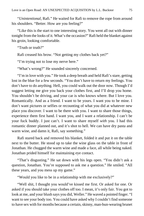"*Unintentional*, Rafi." He waited for Rafi to remove the rope from around his shoulders. "Better. How are you feeling?"

"Like this is the start to one interesting story. You went all out with dinner tonight from the looks of it. What's the occasion?" Rafi held the blanket against his groin, looking comfortable.

"Truth or truth?"

Rafi creased his brow. "Not getting my clothes back yet?"

"I'm trying not to lose my nerve here."

"What's wrong?" He sounded sincerely concerned.

"I'm in love with you." He took a deep breath and held Rafi's stare, getting lost in the blue for a few seconds. "You don't have to return my feelings. You don't have to do anything. Hell, you could walk out the door now. Though I'd suggest letting me give you back your clothes first, and I'll drop you home. You shouldn't be driving, and your car is who knows where. But I love you. Romantically. And as a friend. I want to be yours. I want you to be mine. I don't want pictures or selfies or recounting of what you did at whatever new place you discover. I want to be there with you. I want to share those things, experience them first hand. I want you, and I want a relationship. I can't be your fuck buddy. I just can't. I want to share myself *with* you. I had this romantic dinner planned out, and it's shot to hell. We can have dry pasta and warm wine, and damn it, Rafi, say something."

Rafi stared back and removed his blanket, folded it and put it on the table next to the butter. He stood up to take the wine glass on the table in front of Jonathan. He chugged the warm wine and made a face, all while being naked. Jonathan prided himself for maintaining eye contact.

"That's disgusting." He sat down with his legs open. "You didn't ask a question, Jonathan. You're supposed to ask me a question." He smiled. "All these years, and you mess up my game."

"Would you like to be in a relationship with me exclusively?"

"Well shit, I thought you would've kissed me first. Or asked for one. Or asked if you should take your clothes off too. I mean, it's only fair. You got to look at me, and your blush says you did, Weller." He waved a pointed finger. "I want to see your body too. You could have asked why I couldn't find someone to have sex with for months because a certain, skinny, man-bun-wearing brunet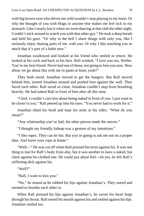with big brown eyes who drives me wild wouldn't stop playing in my brain. Or why the thought of you with Hugo or anyone else makes me feel sick to my stomach. Like I nearly lost it when we were dancing at that club the other night. Couldn't stick around to watch you with that other guy." He took a deep breath and held his gaze. "Or why in the hell I share things with only you, like I seriously enjoy sharing parts of me, with *you*. Or why I like touching you so much that it's part of a habit now."

Jonathan swallowed and looked at his friend who smiled in return. He looked at his cock and back to his face. Rafi winked. "I love you too, Weller. You're my best friend. Never had one of those, not going to lose you now. How about we go about this with me in pants at least, yeah?"

They both stood. Jonathan moved to get the hangers. But Rafi moved behind him, turned Jonathan around and pushed him against the wall. They faced each other. Rafi stood so close, Jonathan couldn't stop from breathing heavily. He had naked Rafi in front of him after all this time.

"I lied. I couldn't care less about being naked in front of you. I just want to be closer to you." Rafi peered up into his eyes. "You never had to work for it."

Jonathan tilted his head and kept his arms at his sides. "What do you mean?"

"Any relationship you've had, the other person made the moves."

"I thought my friendly kidnap was a gesture of my intentions."

"I like ropes. They can be fun. But you're going to ask me out on a proper date. And leave your rope at home."

"Well—" He was cut off when Rafi pressed his torso against his. It was one thing to lust for Rafi's body from afar, but it was another to have a naked, hot chest against his clothed one. He could just about feel—oh yes, he felt Rafi's stiffening dick against his.

"Well?"

"Rafi, I want to kiss you."

"No," he teased as he rubbed his lips against Jonathan's. They stared and seemed to breathe each other in.

When Rafi pressed his lips against Jonathan's, he swore his heart leapt through his throat. Rafi rested his mouth against his and smiled against his lips. Jonathan smiled too.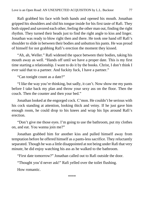Rafi grabbed his face with both hands and opened his mouth. Jonathan gripped his shoulders and slid his tongue inside for his first taste of Rafi. They both sipped and savored each other, feeling the other man out, finding the right rhythm. They turned their heads just to find the right angle to kiss and linger. Jonathan was ready to blow right then and there. He took one hand off Rafi's shoulder to slide in between their bodies and unbutton his pants. He was proud of himself for not grabbing Rafi's erection the moment they kissed.

"Ah, ah, Weller." Rafi widened the space between their bodies, taking his mouth away as well. "Hands off until we have a proper date. This is my first time starting a relationship. I want to do it by the books. Christ, I don't think I ever said that to a partner. And fuckity fuck, I have a partner."

"Can tonight count as a date?"

"I like the way you're thinking, but sadly, it can't. Now show me my pants before I take back my plan and throw your sexy ass on the floor. Then the couch. Then the counter and then your bed."

Jonathan looked at the engorged cock. C'mon. He couldn't be serious with his cock standing at attention, looking thick and veiny. If he just gave him enough room, he could drop to his knees and wrap his lips around Rafi's erection.

"Don't give me those eyes. I'm going to use the bathroom, put my clothes on, and eat. You wanna join me?"

Jonathan grabbed him for another kiss and pulled himself away from temptation before he offered himself as a pants-less sacrifice. They reluctantly separated. Though he was a little disappointed at not being under Rafi that very minute, he did enjoy watching his ass as he walked to the bathroom.

"First date tomorrow?" Jonathan called out to Rafi outside the door.

"Thought you'd never ask!" Rafi yelled over the toilet flushing.

How romantic.

\*\*\*\*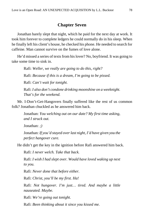## **Chapter Seven**

Jonathan barely slept that night, which he paid for the next day at work. It took him forever to complete ledgers he could normally do in his sleep. When he finally left his client's house, he checked his phone. He needed to search for caffeine. Man cannot survive on the fumes of love alone.

He'd missed a series of texts from his lover? No, boyfriend. It was going to take some time to sink in.

Rafi: *Weller, we really are going to do this, right?* Rafi: *Because if this is a dream, I'm going to be pissed.* Rafi: *Can't wait for tonight.* Rafi: *I also don't condone drinking moonshine on a weeknight. That's for the weekend.*

Mr. I-Don't-Get-Hangovers finally suffered like the rest of us common folk? Jonathan chuckled as he answered him back.

Jonathan: *You welching out on our date? My first time asking, and I struck out.*

Jonathan: *;)*

Jonathan: *If you'd stayed over last night, I'd have given you the perfect hangover cure.*

He didn't get the key in the ignition before Rafi answered him back.

Rafi: *I never welch. Take that back.*

Rafi: *I wish I had slept over. Would have loved waking up next to you.*

Rafi: *Never done that before either.*

Rafi: *Christ, you'll be my first. Ha!*

Rafi: *Not hungover. I'm just… tired. And maybe a little nauseated. Maybe.*

Rafi: *We're going out tonight.*

Rafi: *Been thinking about it since you kissed me.*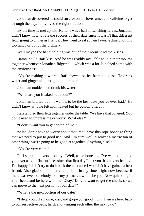Jonathan discovered he could survive on the love fumes and caffeine to get through the day. It involved the right titration.

By the time he met up with Rafi, he was a ball of twitching nerves. Jonathan didn't know how to rate the success of their date since it wasn't that different from going to dinner as friends. They went to eat at their favorite diner, nothing too fancy or out of the ordinary.

Well maybe the hand holding was out of their norm. And the kisses.

Damn, could Rafi kiss. And he was readily available to join their mouths together whenever Jonathan fidgeted… which was a lot. It helped some with the anxiousness.

"You're making it weird." Rafi chewed on ice from his glass. He drank water and ginger ale throughout their meal.

Jonathan nodded and drank his water.

"What are you freaked out about?"

Jonathan blurted out, "I want it to be the best date you've ever had." He didn't know why he felt intimidated but he couldn't help it.

Rafi tangled their legs together under the table. "We have that covered. You don't need to impress me or worry. What else?"

"I don't want you to get bored of me."

"Also, don't have to worry about that. You have this rope bondage thing that we need to put to good use. And I'm sure we'll discover a metric ton of other things we're going to be good at together. Anything else?"

"You're very calm."

Rafi started conversationally, "Well, to be honest… I've wanted to bend you over a lot of flat surfaces since that first day I met you. It's never changed. I'm happy I didn't try to do it back then because I wouldn't have gained a best friend. Also glad some other chump isn't in my shoes right now because if there was ever somebody to be my partner, it would be you. Now quit being in your head, and be here with me. Okay? Do you want to get the check, so we can move to the next portion of our date?"

"What's the next portion of our date?"

"I drop you off at home, kiss, and grope you good night. Then we head back to our respective beds, hard, and wanting each other the next day."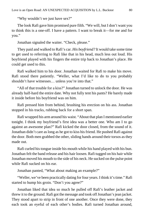"Why wouldn't we just have sex?"

The look Rafi gave him promised pure filth. "We will, but I don't want you to think this is a one-off. I have a pattern. I want to break it—for me and for you."

Jonathan signaled the waiter. "Check, please."

They paid and walked to Rafi's car. *His boyfriend?* It would take some time to get used to referring to Rafi like that in his head, much less out loud. His boyfriend played with his fingers the entire trip back to Jonathan's place. He could get used to this.

Rafi walked him to his door. Jonathan waited for Rafi to make his move. Rafi stood there patiently. "Weller, what I'd like to do to you probably shouldn't have witnesses… unless you're into that."

"All of that trouble for a kiss?" Jonathan turned to unlock the door. He was already half-hard the entire date. Why not fully tent his pants? He barely made it inside before his boyfriend was on him.

Rafi pressed him from behind, brushing his erection on his ass. Jonathan stopped in his tracks, rubbing back for a short span.

Rafi wrapped his arm around his waist. "About that plan I mentioned earlier tonight. I think my boyfriend's first idea was a better one. Who am I to go against an awesome plan?" Rafi kicked the door closed, from the sound of it. Jonathan didn't care as long as he got to kiss his friend. He pushed Rafi against the door. Both men grabbed the other, sliding hands around their torsos as they made out.

Rafi curled his tongue inside his mouth while his hand played with his bun. Jonathan felt the band release and his hair loosen. Rafi tugged on his hair while Jonathan moved his mouth to the side of his neck. He sucked on the pulse point while Rafi sucked on his ear.

Jonathan panted, "What about making an example?"

"Weller, we've been practically dating for four years. I think it's time." Rafi started to hump his groin. "Don't you agree?"

Jonathan liked that idea so much he pulled off Rafi's leather jacket and threw it to the ground. Rafi got the message and took off Jonathan's jean jacket. They stood apart to strip in front of one another. Once they were done, they each took an eyeful of each other's bodies. Rafi turned Jonathan around,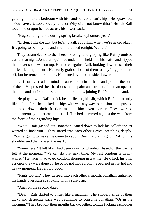guiding him to the bedroom with his hands on Jonathan's hips. He squawked. "You have a tattoo above your ass? Why did I not know this?" He felt Rafi touch the dragon he had across his lower back.

"Hugo and I got one during spring break, sophomore year."

"Listen, I like the guy, but let's not talk about him when we're naked okay? It's going to be only me and you in that bed tonight, Weller."

They scrambled onto the sheets, kissing, and groping like Rafi promised earlier that night. Jonathan squirmed under him, held onto his waist, and flipped them over so he was on top. He frotted against Rafi, looking down to see their cocks trickling precum. He nearly grabbed both of them to playfully jerk them off, but he remembered lube. He leaned over to the side drawer.

Rafi must've read his mind because he spat in his hand and gripped the both of them. He pressed their hard-ons in one palm and stroked. Jonathan opened the tube and squirted the slick into their palms, joining Rafi's nimble hand.

He played with Rafi's thick head, flicking his slit, which Rafi apparently liked if the force he bucked his hips with was any way to tell. Jonathan pushed his hips down, their friction making him even harder. They worked simultaneously to get each other off. The bed slammed against the wall from the force of their grinding hips.

"Wait," Rafi gasped out. Jonathan leaned down to lick his collarbone. "I wanted to fuck you." They stared into each other's eyes, breathing deeply. "You're going to make me come too soon. Been hard all night." Rafi bit his shoulder and then kissed the mark.

"Same here." It felt like it had been a yearlong hard-on, based on the way he felt at the moment. "We can do that next time. My last condom is in my wallet." He hadn't had to go condom shopping in a while. He'd kick his own ass once they were done but he could not move from the bed, not in that hot and heavy moment. He felt too good.

"Pants too far." They gasped into each other's mouth. Jonathan tightened his hands over Rafi's, stroking with a sure grip.

"Anal on the second date?"

"Deal." Rafi started to thrust like a madman. The slippery slide of their dicks and desperate pace was beginning to consume Jonathan. "Or in the morning." They brought their mouths back together, tongue fucking each other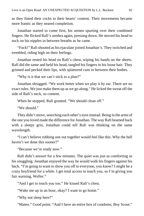as they fisted their cocks to their hearts' content. Their movements became more frantic as they neared completion.

Jonathan started to come first, his semen spurting over their combined fingers. He flicked Rafi's urethra again, pressing down. He moved his head to suck on his nipples in between breaths as he came.

"Fuck!" Rafi shouted as his ejaculate joined Jonathan's. They twitched and trembled, riding high on their feelings.

Jonathan rested his head on Rafi's chest, wiping his hands on the sheets. Rafi did the same and held his head, tangled his fingers in his loose hair. They grinned and pecked their lips, with splattered cum in between their bodies.

"Why is it that we can't stick to a plan?"

Jonathan shrugged. "We work better when we play it by ear. There are no exact rules. We just make them up as we go along." He licked the sweat off the side of Rafi's neck, so content.

When he stopped, Rafi grunted. "We should clean off."

"We should."

They didn't move, searching each other's eyes instead. Being in the arms of the one you loved made the difference for Jonathan. The way Rafi beamed back with a sleepy grin, Jonathan could tell Rafi was thinking on the same wavelength.

"I can't believe rubbing one out together would feel like this. Why the hell haven't we done this sooner?"

"Because we're ready now."

Rafi didn't answer for a few minutes. The quiet was just as comforting as his snuggling. Jonathan enjoyed the way he would walk his fingers against his back. "I'm going to want to show you off to everyone, you know? I might be a crazy boyfriend for a while. I get total access to touch you, so I'm giving you fair warning, Weller."

"And I get to touch you too." He kissed Rafi's chest.

"Wake me up in an hour, okay? I want to go home."

"Why not sleep here?"

"Mateo." Good point. "And I have an entire box of condoms, Boy Scout."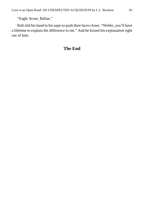"Eagle Scout, Balian."

Rafi slid his hand to his nape to push their faces closer. "Weller, you'll have a lifetime to explain the difference to me." And he kissed his explanation right out of him.

## **The End**